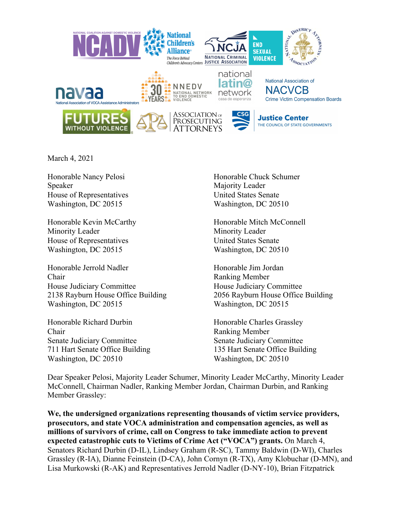

March 4, 2021

Speaker Majority Leader House of Representatives United States Senate Washington, DC 20515 Washington, DC 20510

Minority Leader Minority Leader House of Representatives United States Senate Washington, DC 20515 Washington, DC 20510

Honorable Jerrold Nadler Honorable Jim Jordan Chair Ranking Member House Judiciary Committee House Judiciary Committee 2138 Rayburn House Office Building 2056 Rayburn House Office Building Washington, DC 20515 Washington, DC 20515

Honorable Richard Durbin Honorable Charles Grassley Chair Ranking Member Senate Judiciary Committee Senate Judiciary Committee 711 Hart Senate Office Building 135 Hart Senate Office Building Washington, DC 20510 Washington, DC 20510

Honorable Nancy Pelosi Honorable Chuck Schumer

Honorable Kevin McCarthy Honorable Mitch McConnell

Dear Speaker Pelosi, Majority Leader Schumer, Minority Leader McCarthy, Minority Leader McConnell, Chairman Nadler, Ranking Member Jordan, Chairman Durbin, and Ranking Member Grassley:

**We, the undersigned organizations representing thousands of victim service providers, prosecutors, and state VOCA administration and compensation agencies, as well as millions of survivors of crime, call on Congress to take immediate action to prevent expected catastrophic cuts to Victims of Crime Act ("VOCA") grants.** On March 4, Senators Richard Durbin (D-IL), Lindsey Graham (R-SC), Tammy Baldwin (D-WI), Charles Grassley (R-IA), Dianne Feinstein (D-CA), John Cornyn (R-TX), Amy Klobuchar (D-MN), and Lisa Murkowski (R-AK) and Representatives Jerrold Nadler (D-NY-10), Brian Fitzpatrick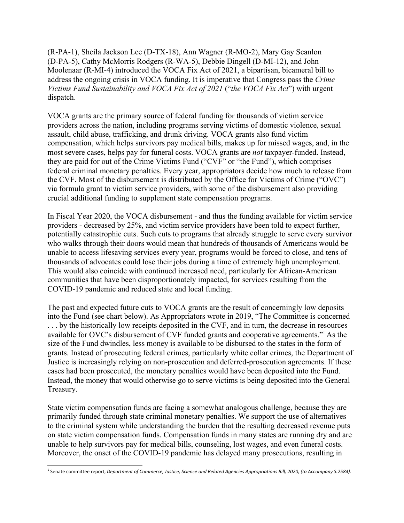(R-PA-1), Sheila Jackson Lee (D-TX-18), Ann Wagner (R-MO-2), Mary Gay Scanlon (D-PA-5), Cathy McMorris Rodgers (R-WA-5), Debbie Dingell (D-MI-12), and John Moolenaar (R-MI-4) introduced the VOCA Fix Act of 2021, a bipartisan, bicameral bill to address the ongoing crisis in VOCA funding. It is imperative that Congress pass the *Crime Victims Fund Sustainability and VOCA Fix Act of 2021* ("*the VOCA Fix Act*") with urgent dispatch.

VOCA grants are the primary source of federal funding for thousands of victim service providers across the nation, including programs serving victims of domestic violence, sexual assault, child abuse, trafficking, and drunk driving. VOCA grants also fund victim compensation, which helps survivors pay medical bills, makes up for missed wages, and, in the most severe cases, helps pay for funeral costs. VOCA grants are *not* taxpayer-funded. Instead, they are paid for out of the Crime Victims Fund ("CVF" or "the Fund"), which comprises federal criminal monetary penalties. Every year, appropriators decide how much to release from the CVF. Most of the disbursement is distributed by the Office for Victims of Crime ("OVC") via formula grant to victim service providers, with some of the disbursement also providing crucial additional funding to supplement state compensation programs.

In Fiscal Year 2020, the VOCA disbursement - and thus the funding available for victim service providers - decreased by 25%, and victim service providers have been told to expect further, potentially catastrophic cuts. Such cuts to programs that already struggle to serve every survivor who walks through their doors would mean that hundreds of thousands of Americans would be unable to access lifesaving services every year, programs would be forced to close, and tens of thousands of advocates could lose their jobs during a time of extremely high unemployment. This would also coincide with continued increased need, particularly for African-American communities that have been disproportionately impacted, for services resulting from the COVID-19 pandemic and reduced state and local funding.

The past and expected future cuts to VOCA grants are the result of concerningly low deposits into the Fund (see chart below). As Appropriators wrote in 2019, "The Committee is concerned ... by the historically low receipts deposited in the CVF, and in turn, the decrease in resources available for OVC's disbursement of CVF funded grants and cooperative agreements."<sup>1</sup> As the size of the Fund dwindles, less money is available to be disbursed to the states in the form of grants. Instead of prosecuting federal crimes, particularly white collar crimes, the Department of Justice is increasingly relying on non-prosecution and deferred-prosecution agreements. If these cases had been prosecuted, the monetary penalties would have been deposited into the Fund. Instead, the money that would otherwise go to serve victims is being deposited into the General Treasury.

State victim compensation funds are facing a somewhat analogous challenge, because they are primarily funded through state criminal monetary penalties. We support the use of alternatives to the criminal system while understanding the burden that the resulting decreased revenue puts on state victim compensation funds. Compensation funds in many states are running dry and are unable to help survivors pay for medical bills, counseling, lost wages, and even funeral costs. Moreover, the onset of the COVID-19 pandemic has delayed many prosecutions, resulting in

<sup>&</sup>lt;sup>1</sup> Senate committee report, Department of Commerce, Justice, Science and Related Agencies Appropriations Bill, 2020, (to Accompany S.2584).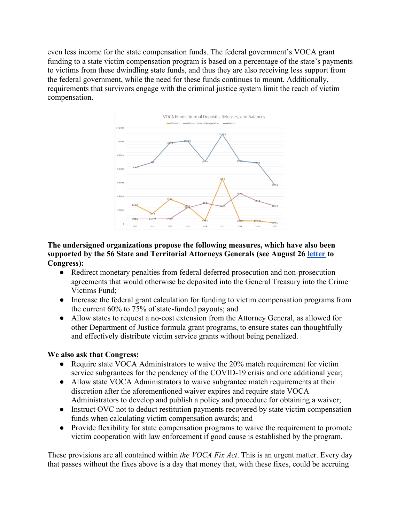even less income for the state compensation funds. The federal government's VOCA grant funding to a state victim compensation program is based on a percentage of the state's payments to victims from these dwindling state funds, and thus they are also receiving less support from the federal government, while the need for these funds continues to mount. Additionally, requirements that survivors engage with the criminal justice system limit the reach of victim compensation.



# **The undersigned organizations propose the following measures, which have also been supported by the 56 State and Territorial Attorneys Generals (see August 26 letter to Congress):**

- Redirect monetary penalties from federal deferred prosecution and non-prosecution agreements that would otherwise be deposited into the General Treasury into the Crime Victims Fund;
- Increase the federal grant calculation for funding to victim compensation programs from the current 60% to 75% of state-funded payouts; and
- Allow states to request a no-cost extension from the Attorney General, as allowed for other Department of Justice formula grant programs, to ensure states can thoughtfully and effectively distribute victim service grants without being penalized.

# **We also ask that Congress:**

- Require state VOCA Administrators to waive the 20% match requirement for victim service subgrantees for the pendency of the COVID-19 crisis and one additional year;
- Allow state VOCA Administrators to waive subgrantee match requirements at their discretion after the aforementioned waiver expires and require state VOCA Administrators to develop and publish a policy and procedure for obtaining a waiver;
- Instruct OVC not to deduct restitution payments recovered by state victim compensation funds when calculating victim compensation awards; and
- Provide flexibility for state compensation programs to waive the requirement to promote victim cooperation with law enforcement if good cause is established by the program.

These provisions are all contained within *the VOCA Fix Act*. This is an urgent matter. Every day that passes without the fixes above is a day that money that, with these fixes, could be accruing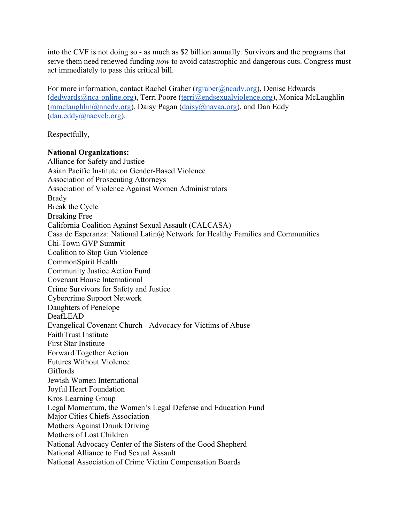into the CVF is not doing so - as much as \$2 billion annually. Survivors and the programs that serve them need renewed funding *now* to avoid catastrophic and dangerous cuts. Congress must act immediately to pass this critical bill.

For more information, contact Rachel Graber (rgraber@ncadv.org), Denise Edwards (dedwards@nca-online.org), Terri Poore (terri@endsexualviolence.org), Monica McLaughlin  $(mmclaughlin@nnedv.org)$ , Daisy Pagan (daisy@navaa.org), and Dan Eddy (dan.eddy@nacvcb.org).

Respectfully,

# **National Organizations:**

Alliance for Safety and Justice Asian Pacific Institute on Gender-Based Violence Association of Prosecuting Attorneys Association of Violence Against Women Administrators Brady Break the Cycle Breaking Free California Coalition Against Sexual Assault (CALCASA) Casa de Esperanza: National Latin@ Network for Healthy Families and Communities Chi-Town GVP Summit Coalition to Stop Gun Violence CommonSpirit Health Community Justice Action Fund Covenant House International Crime Survivors for Safety and Justice Cybercrime Support Network Daughters of Penelope DeafLEAD Evangelical Covenant Church - Advocacy for Victims of Abuse FaithTrust Institute First Star Institute Forward Together Action Futures Without Violence Giffords Jewish Women International Joyful Heart Foundation Kros Learning Group Legal Momentum, the Women's Legal Defense and Education Fund Major Cities Chiefs Association Mothers Against Drunk Driving Mothers of Lost Children National Advocacy Center of the Sisters of the Good Shepherd National Alliance to End Sexual Assault National Association of Crime Victim Compensation Boards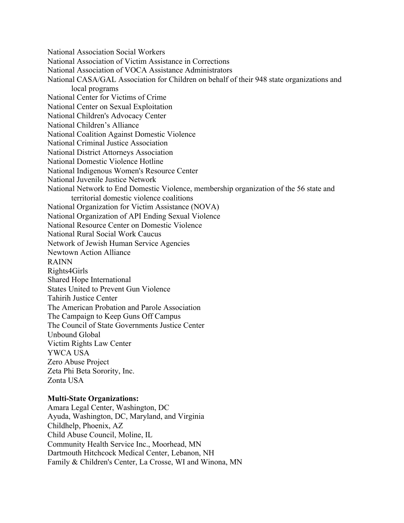National Association Social Workers

National Association of Victim Assistance in Corrections

National Association of VOCA Assistance Administrators

National CASA/GAL Association for Children on behalf of their 948 state organizations and local programs

National Center for Victims of Crime

National Center on Sexual Exploitation

National Children's Advocacy Center

National Children's Alliance

National Coalition Against Domestic Violence

National Criminal Justice Association

National District Attorneys Association

National Domestic Violence Hotline

National Indigenous Women's Resource Center

National Juvenile Justice Network

National Network to End Domestic Violence, membership organization of the 56 state and territorial domestic violence coalitions

National Organization for Victim Assistance (NOVA)

National Organization of API Ending Sexual Violence

National Resource Center on Domestic Violence

National Rural Social Work Caucus

Network of Jewish Human Service Agencies

Newtown Action Alliance

RAINN

Rights4Girls

Shared Hope International

States United to Prevent Gun Violence

Tahirih Justice Center

The American Probation and Parole Association

The Campaign to Keep Guns Off Campus

The Council of State Governments Justice Center

Unbound Global

Victim Rights Law Center

YWCA USA

Zero Abuse Project

Zeta Phi Beta Sorority, Inc.

Zonta USA

#### **Multi-State Organizations:**

Amara Legal Center, Washington, DC Ayuda, Washington, DC, Maryland, and Virginia Childhelp, Phoenix, AZ Child Abuse Council, Moline, IL Community Health Service Inc., Moorhead, MN Dartmouth Hitchcock Medical Center, Lebanon, NH Family & Children's Center, La Crosse, WI and Winona, MN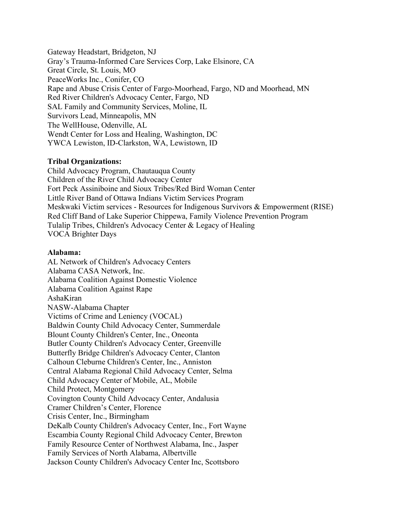Gateway Headstart, Bridgeton, NJ Gray's Trauma-Informed Care Services Corp, Lake Elsinore, CA Great Circle, St. Louis, MO PeaceWorks Inc., Conifer, CO Rape and Abuse Crisis Center of Fargo-Moorhead, Fargo, ND and Moorhead, MN Red River Children's Advocacy Center, Fargo, ND SAL Family and Community Services, Moline, IL Survivors Lead, Minneapolis, MN The WellHouse, Odenville, AL Wendt Center for Loss and Healing, Washington, DC YWCA Lewiston, ID-Clarkston, WA, Lewistown, ID

# **Tribal Organizations:**

Child Advocacy Program, Chautauqua County Children of the River Child Advocacy Center Fort Peck Assiniboine and Sioux Tribes/Red Bird Woman Center Little River Band of Ottawa Indians Victim Services Program Meskwaki Victim services - Resources for Indigenous Survivors & Empowerment (RISE) Red Cliff Band of Lake Superior Chippewa, Family Violence Prevention Program Tulalip Tribes, Children's Advocacy Center & Legacy of Healing VOCA Brighter Days

# **Alabama:**

AL Network of Children's Advocacy Centers Alabama CASA Network, Inc. Alabama Coalition Against Domestic Violence Alabama Coalition Against Rape AshaKiran NASW-Alabama Chapter Victims of Crime and Leniency (VOCAL) Baldwin County Child Advocacy Center, Summerdale Blount County Children's Center, Inc., Oneonta Butler County Children's Advocacy Center, Greenville Butterfly Bridge Children's Advocacy Center, Clanton Calhoun Cleburne Children's Center, Inc., Anniston Central Alabama Regional Child Advocacy Center, Selma Child Advocacy Center of Mobile, AL, Mobile Child Protect, Montgomery Covington County Child Advocacy Center, Andalusia Cramer Children's Center, Florence Crisis Center, Inc., Birmingham DeKalb County Children's Advocacy Center, Inc., Fort Wayne Escambia County Regional Child Advocacy Center, Brewton Family Resource Center of Northwest Alabama, Inc., Jasper Family Services of North Alabama, Albertville Jackson County Children's Advocacy Center Inc, Scottsboro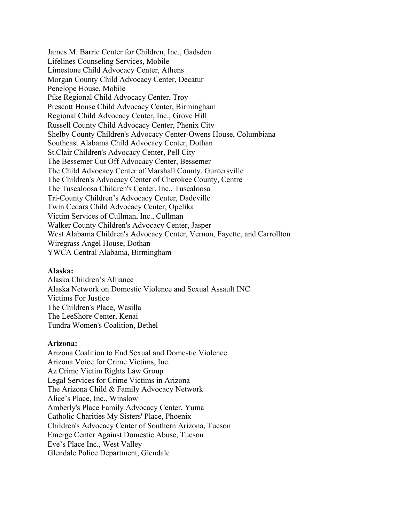James M. Barrie Center for Children, Inc., Gadsden Lifelines Counseling Services, Mobile Limestone Child Advocacy Center, Athens Morgan County Child Advocacy Center, Decatur Penelope House, Mobile Pike Regional Child Advocacy Center, Troy Prescott House Child Advocacy Center, Birmingham Regional Child Advocacy Center, Inc., Grove Hill Russell County Child Advocacy Center, Phenix City Shelby County Children's Advocacy Center-Owens House, Columbiana Southeast Alabama Child Advocacy Center, Dothan St.Clair Children's Advocacy Center, Pell City The Bessemer Cut Off Advocacy Center, Bessemer The Child Advocacy Center of Marshall County, Guntersville The Children's Advocacy Center of Cherokee County, Centre The Tuscaloosa Children's Center, Inc., Tuscaloosa Tri-County Children's Advocacy Center, Dadeville Twin Cedars Child Advocacy Center, Opelika Victim Services of Cullman, Inc., Cullman Walker County Children's Advocacy Center, Jasper West Alabama Children's Advocacy Center, Vernon, Fayette, and Carrollton Wiregrass Angel House, Dothan YWCA Central Alabama, Birmingham

#### **Alaska:**

Alaska Children's Alliance Alaska Network on Domestic Violence and Sexual Assault INC Victims For Justice The Children's Place, Wasilla The LeeShore Center, Kenai Tundra Women's Coalition, Bethel

#### **Arizona:**

Arizona Coalition to End Sexual and Domestic Violence Arizona Voice for Crime Victims, Inc. Az Crime Victim Rights Law Group Legal Services for Crime Victims in Arizona The Arizona Child & Family Advocacy Network Alice's Place, Inc., Winslow Amberly's Place Family Advocacy Center, Yuma Catholic Charities My Sisters' Place, Phoenix Children's Advocacy Center of Southern Arizona, Tucson Emerge Center Against Domestic Abuse, Tucson Eve's Place Inc., West Valley Glendale Police Department, Glendale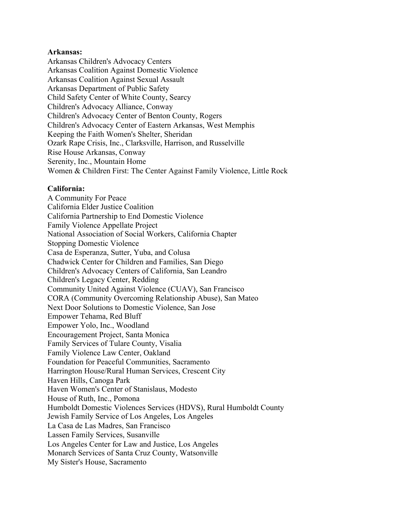### **Arkansas:**

Arkansas Children's Advocacy Centers Arkansas Coalition Against Domestic Violence Arkansas Coalition Against Sexual Assault Arkansas Department of Public Safety Child Safety Center of White County, Searcy Children's Advocacy Alliance, Conway Children's Advocacy Center of Benton County, Rogers Children's Advocacy Center of Eastern Arkansas, West Memphis Keeping the Faith Women's Shelter, Sheridan Ozark Rape Crisis, Inc., Clarksville, Harrison, and Russelville Rise House Arkansas, Conway Serenity, Inc., Mountain Home Women & Children First: The Center Against Family Violence, Little Rock

#### **California:**

A Community For Peace California Elder Justice Coalition California Partnership to End Domestic Violence Family Violence Appellate Project National Association of Social Workers, California Chapter Stopping Domestic Violence Casa de Esperanza, Sutter, Yuba, and Colusa Chadwick Center for Children and Families, San Diego Children's Advocacy Centers of California, San Leandro Children's Legacy Center, Redding Community United Against Violence (CUAV), San Francisco CORA (Community Overcoming Relationship Abuse), San Mateo Next Door Solutions to Domestic Violence, San Jose Empower Tehama, Red Bluff Empower Yolo, Inc., Woodland Encouragement Project, Santa Monica Family Services of Tulare County, Visalia Family Violence Law Center, Oakland Foundation for Peaceful Communities, Sacramento Harrington House/Rural Human Services, Crescent City Haven Hills, Canoga Park Haven Women's Center of Stanislaus, Modesto House of Ruth, Inc., Pomona Humboldt Domestic Violences Services (HDVS), Rural Humboldt County Jewish Family Service of Los Angeles, Los Angeles La Casa de Las Madres, San Francisco Lassen Family Services, Susanville Los Angeles Center for Law and Justice, Los Angeles Monarch Services of Santa Cruz County, Watsonville My Sister's House, Sacramento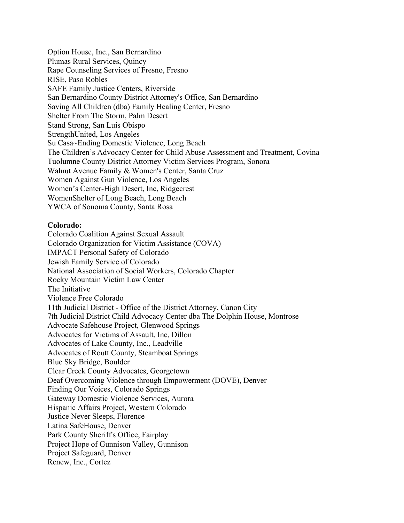Option House, Inc., San Bernardino Plumas Rural Services, Quincy Rape Counseling Services of Fresno, Fresno RISE, Paso Robles SAFE Family Justice Centers, Riverside San Bernardino County District Attorney's Office, San Bernardino Saving All Children (dba) Family Healing Center, Fresno Shelter From The Storm, Palm Desert Stand Strong, San Luis Obispo StrengthUnited, Los Angeles Su Casa~Ending Domestic Violence, Long Beach The Children's Advocacy Center for Child Abuse Assessment and Treatment, Covina Tuolumne County District Attorney Victim Services Program, Sonora Walnut Avenue Family & Women's Center, Santa Cruz Women Against Gun Violence, Los Angeles Women's Center-High Desert, Inc, Ridgecrest WomenShelter of Long Beach, Long Beach YWCA of Sonoma County, Santa Rosa

### **Colorado:**

Colorado Coalition Against Sexual Assault Colorado Organization for Victim Assistance (COVA) IMPACT Personal Safety of Colorado Jewish Family Service of Colorado National Association of Social Workers, Colorado Chapter Rocky Mountain Victim Law Center The Initiative Violence Free Colorado 11th Judicial District - Office of the District Attorney, Canon City 7th Judicial District Child Advocacy Center dba The Dolphin House, Montrose Advocate Safehouse Project, Glenwood Springs Advocates for Victims of Assault, Inc, Dillon Advocates of Lake County, Inc., Leadville Advocates of Routt County, Steamboat Springs Blue Sky Bridge, Boulder Clear Creek County Advocates, Georgetown Deaf Overcoming Violence through Empowerment (DOVE), Denver Finding Our Voices, Colorado Springs Gateway Domestic Violence Services, Aurora Hispanic Affairs Project, Western Colorado Justice Never Sleeps, Florence Latina SafeHouse, Denver Park County Sheriff's Office, Fairplay Project Hope of Gunnison Valley, Gunnison Project Safeguard, Denver Renew, Inc., Cortez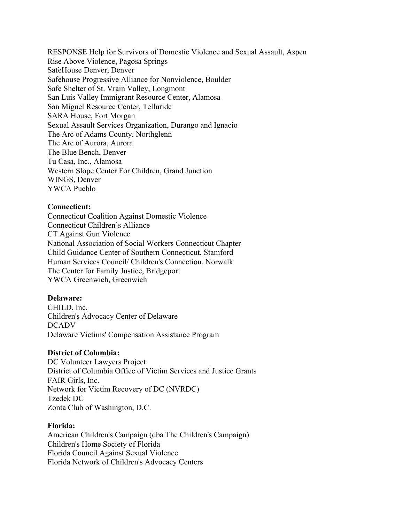RESPONSE Help for Survivors of Domestic Violence and Sexual Assault, Aspen Rise Above Violence, Pagosa Springs SafeHouse Denver, Denver Safehouse Progressive Alliance for Nonviolence, Boulder Safe Shelter of St. Vrain Valley, Longmont San Luis Valley Immigrant Resource Center, Alamosa San Miguel Resource Center, Telluride SARA House, Fort Morgan Sexual Assault Services Organization, Durango and Ignacio The Arc of Adams County, Northglenn The Arc of Aurora, Aurora The Blue Bench, Denver Tu Casa, Inc., Alamosa Western Slope Center For Children, Grand Junction WINGS, Denver YWCA Pueblo

### **Connecticut:**

Connecticut Coalition Against Domestic Violence Connecticut Children's Alliance CT Against Gun Violence National Association of Social Workers Connecticut Chapter Child Guidance Center of Southern Connecticut, Stamford Human Services Council/ Children's Connection, Norwalk The Center for Family Justice, Bridgeport YWCA Greenwich, Greenwich

#### **Delaware:**

CHILD, Inc. Children's Advocacy Center of Delaware DCADV Delaware Victims' Compensation Assistance Program

#### **District of Columbia:**

DC Volunteer Lawyers Project District of Columbia Office of Victim Services and Justice Grants FAIR Girls, Inc. Network for Victim Recovery of DC (NVRDC) Tzedek DC Zonta Club of Washington, D.C.

#### **Florida:**

American Children's Campaign (dba The Children's Campaign) Children's Home Society of Florida Florida Council Against Sexual Violence Florida Network of Children's Advocacy Centers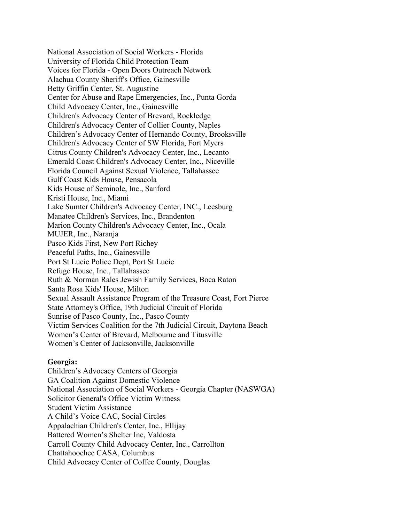National Association of Social Workers - Florida University of Florida Child Protection Team Voices for Florida - Open Doors Outreach Network Alachua County Sheriff's Office, Gainesville Betty Griffin Center, St. Augustine Center for Abuse and Rape Emergencies, Inc., Punta Gorda Child Advocacy Center, Inc., Gainesville Children's Advocacy Center of Brevard, Rockledge Children's Advocacy Center of Collier County, Naples Children's Advocacy Center of Hernando County, Brooksville Children's Advocacy Center of SW Florida, Fort Myers Citrus County Children's Advocacy Center, Inc., Lecanto Emerald Coast Children's Advocacy Center, Inc., Niceville Florida Council Against Sexual Violence, Tallahassee Gulf Coast Kids House, Pensacola Kids House of Seminole, Inc., Sanford Kristi House, Inc., Miami Lake Sumter Children's Advocacy Center, INC., Leesburg Manatee Children's Services, Inc., Brandenton Marion County Children's Advocacy Center, Inc., Ocala MUJER, Inc., Naranja Pasco Kids First, New Port Richey Peaceful Paths, Inc., Gainesville Port St Lucie Police Dept, Port St Lucie Refuge House, Inc., Tallahassee Ruth & Norman Rales Jewish Family Services, Boca Raton Santa Rosa Kids' House, Milton Sexual Assault Assistance Program of the Treasure Coast, Fort Pierce State Attorney's Office, 19th Judicial Circuit of Florida Sunrise of Pasco County, Inc., Pasco County Victim Services Coalition for the 7th Judicial Circuit, Daytona Beach Women's Center of Brevard, Melbourne and Titusville Women's Center of Jacksonville, Jacksonville

# **Georgia:**

Children's Advocacy Centers of Georgia GA Coalition Against Domestic Violence National Association of Social Workers - Georgia Chapter (NASWGA) Solicitor General's Office Victim Witness Student Victim Assistance A Child's Voice CAC, Social Circles Appalachian Children's Center, Inc., Ellijay Battered Women's Shelter Inc, Valdosta Carroll County Child Advocacy Center, Inc., Carrollton Chattahoochee CASA, Columbus Child Advocacy Center of Coffee County, Douglas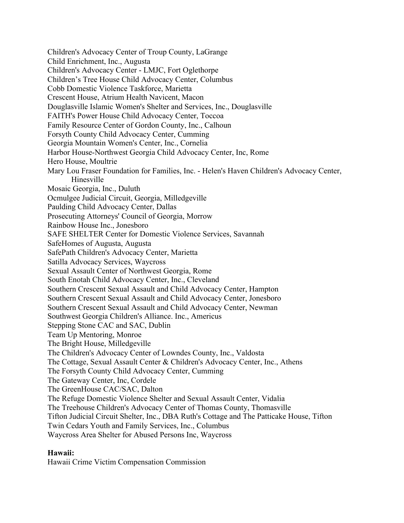Children's Advocacy Center of Troup County, LaGrange Child Enrichment, Inc., Augusta Children's Advocacy Center - LMJC, Fort Oglethorpe Children's Tree House Child Advocacy Center, Columbus Cobb Domestic Violence Taskforce, Marietta Crescent House, Atrium Health Navicent, Macon Douglasville Islamic Women's Shelter and Services, Inc., Douglasville FAITH's Power House Child Advocacy Center, Toccoa Family Resource Center of Gordon County, Inc., Calhoun Forsyth County Child Advocacy Center, Cumming Georgia Mountain Women's Center, Inc., Cornelia Harbor House-Northwest Georgia Child Advocacy Center, Inc, Rome Hero House, Moultrie Mary Lou Fraser Foundation for Families, Inc. - Helen's Haven Children's Advocacy Center, Hinesville Mosaic Georgia, Inc., Duluth Ocmulgee Judicial Circuit, Georgia, Milledgeville Paulding Child Advocacy Center, Dallas Prosecuting Attorneys' Council of Georgia, Morrow Rainbow House Inc., Jonesboro SAFE SHELTER Center for Domestic Violence Services, Savannah SafeHomes of Augusta, Augusta SafePath Children's Advocacy Center, Marietta Satilla Advocacy Services, Waycross Sexual Assault Center of Northwest Georgia, Rome South Enotah Child Advocacy Center, Inc., Cleveland Southern Crescent Sexual Assault and Child Advocacy Center, Hampton Southern Crescent Sexual Assault and Child Advocacy Center, Jonesboro Southern Crescent Sexual Assault and Child Advocacy Center, Newman Southwest Georgia Children's Alliance. Inc., Americus Stepping Stone CAC and SAC, Dublin Team Up Mentoring, Monroe The Bright House, Milledgeville The Children's Advocacy Center of Lowndes County, Inc., Valdosta The Cottage, Sexual Assault Center & Children's Advocacy Center, Inc., Athens The Forsyth County Child Advocacy Center, Cumming The Gateway Center, Inc, Cordele The GreenHouse CAC/SAC, Dalton The Refuge Domestic Violence Shelter and Sexual Assault Center, Vidalia The Treehouse Children's Advocacy Center of Thomas County, Thomasville Tifton Judicial Circuit Shelter, Inc., DBA Ruth's Cottage and The Patticake House, Tifton Twin Cedars Youth and Family Services, Inc., Columbus Waycross Area Shelter for Abused Persons Inc, Waycross

# **Hawaii:**

Hawaii Crime Victim Compensation Commission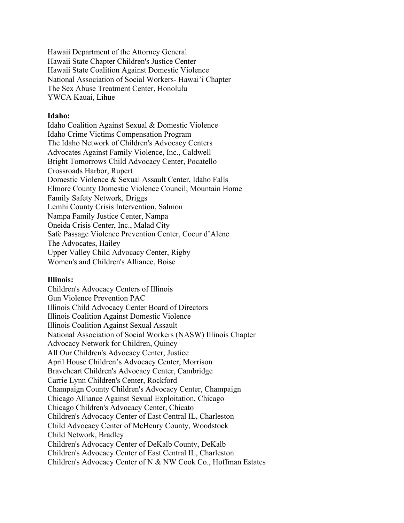Hawaii Department of the Attorney General Hawaii State Chapter Children's Justice Center Hawaii State Coalition Against Domestic Violence National Association of Social Workers- Hawai'i Chapter The Sex Abuse Treatment Center, Honolulu YWCA Kauai, Lihue

### **Idaho:**

Idaho Coalition Against Sexual & Domestic Violence Idaho Crime Victims Compensation Program The Idaho Network of Children's Advocacy Centers Advocates Against Family Violence, Inc., Caldwell Bright Tomorrows Child Advocacy Center, Pocatello Crossroads Harbor, Rupert Domestic Violence & Sexual Assault Center, Idaho Falls Elmore County Domestic Violence Council, Mountain Home Family Safety Network, Driggs Lemhi County Crisis Intervention, Salmon Nampa Family Justice Center, Nampa Oneida Crisis Center, Inc., Malad City Safe Passage Violence Prevention Center, Coeur d'Alene The Advocates, Hailey Upper Valley Child Advocacy Center, Rigby Women's and Children's Alliance, Boise

# **Illinois:**

Children's Advocacy Centers of Illinois Gun Violence Prevention PAC Illinois Child Advocacy Center Board of Directors Illinois Coalition Against Domestic Violence Illinois Coalition Against Sexual Assault National Association of Social Workers (NASW) Illinois Chapter Advocacy Network for Children, Quincy All Our Children's Advocacy Center, Justice April House Children's Advocacy Center, Morrison Braveheart Children's Advocacy Center, Cambridge Carrie Lynn Children's Center, Rockford Champaign County Children's Advocacy Center, Champaign Chicago Alliance Against Sexual Exploitation, Chicago Chicago Children's Advocacy Center, Chicato Children's Advocacy Center of East Central IL, Charleston Child Advocacy Center of McHenry County, Woodstock Child Network, Bradley Children's Advocacy Center of DeKalb County, DeKalb Children's Advocacy Center of East Central IL, Charleston Children's Advocacy Center of N & NW Cook Co., Hoffman Estates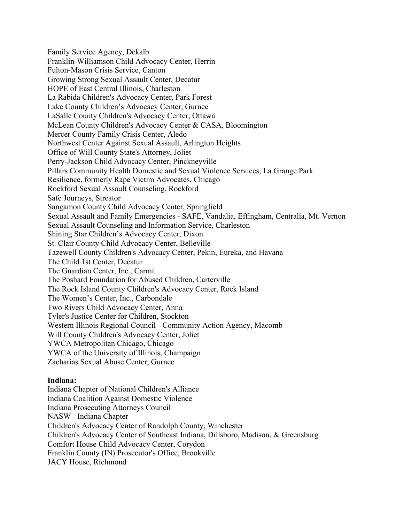Family Service Agency, Dekalb Franklin-Williamson Child Advocacy Center, Herrin Fulton-Mason Crisis Service, Canton Growing Strong Sexual Assault Center, Decatur HOPE of East Central Illinois, Charleston La Rabida Children's Advocacy Center, Park Forest Lake County Children's Advocacy Center, Gurnee LaSalle County Children's Advocacy Center, Ottawa McLean County Children's Advocacy Center & CASA, Bloomington Mercer County Family Crisis Center, Aledo Northwest Center Against Sexual Assault, Arlington Heights Office of Will County State's Attorney, Joliet Perry-Jackson Child Advocacy Center, Pinckneyville Pillars Community Health Domestic and Sexual Violence Services, La Grange Park Resilience, formerly Rape Victim Advocates, Chicago Rockford Sexual Assault Counseling, Rockford Safe Journeys, Streator Sangamon County Child Advocacy Center, Springfield Sexual Assault and Family Emergencies - SAFE, Vandalia, Effingham, Centralia, Mt. Vernon Sexual Assault Counseling and Information Service, Charleston Shining Star Children's Advocacy Center, Dixon St. Clair County Child Advocacy Center, Belleville Tazewell County Children's Advocacy Center, Pekin, Eureka, and Havana The Child 1st Center, Decatur The Guardian Center, Inc., Carmi The Poshard Foundation for Abused Children, Carterville The Rock Island County Children's Advocacy Center, Rock Island The Women's Center, Inc., Carbondale Two Rivers Child Advocacy Center, Anna Tyler's Justice Center for Children, Stockton Western Illinois Regional Council - Community Action Agency, Macomb Will County Children's Advocacy Center, Joliet YWCA Metropolitan Chicago, Chicago YWCA of the University of Illinois, Champaign Zacharias Sexual Abuse Center, Gurnee

#### **Indiana:**

Indiana Chapter of National Children's Alliance Indiana Coalition Against Domestic Violence Indiana Prosecuting Attorneys Council NASW - Indiana Chapter Children's Advocacy Center of Randolph County, Winchester Children's Advocacy Center of Southeast Indiana, Dillsboro, Madison, & Greensburg Comfort House Child Advocacy Center, Corydon Franklin County (IN) Prosecutor's Office, Brookville JACY House, Richmond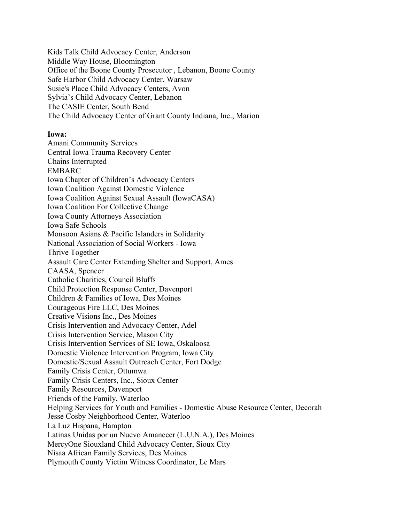Kids Talk Child Advocacy Center, Anderson Middle Way House, Bloomington Office of the Boone County Prosecutor , Lebanon, Boone County Safe Harbor Child Advocacy Center, Warsaw Susie's Place Child Advocacy Centers, Avon Sylvia's Child Advocacy Center, Lebanon The CASIE Center, South Bend The Child Advocacy Center of Grant County Indiana, Inc., Marion

### **Iowa:**

Amani Community Services Central Iowa Trauma Recovery Center Chains Interrupted EMBARC Iowa Chapter of Children's Advocacy Centers Iowa Coalition Against Domestic Violence Iowa Coalition Against Sexual Assault (IowaCASA) Iowa Coalition For Collective Change Iowa County Attorneys Association Iowa Safe Schools Monsoon Asians & Pacific Islanders in Solidarity National Association of Social Workers - Iowa Thrive Together Assault Care Center Extending Shelter and Support, Ames CAASA, Spencer Catholic Charities, Council Bluffs Child Protection Response Center, Davenport Children & Families of Iowa, Des Moines Courageous Fire LLC, Des Moines Creative Visions Inc., Des Moines Crisis Intervention and Advocacy Center, Adel Crisis Intervention Service, Mason City Crisis Intervention Services of SE Iowa, Oskaloosa Domestic Violence Intervention Program, Iowa City Domestic/Sexual Assault Outreach Center, Fort Dodge Family Crisis Center, Ottumwa Family Crisis Centers, Inc., Sioux Center Family Resources, Davenport Friends of the Family, Waterloo Helping Services for Youth and Families - Domestic Abuse Resource Center, Decorah Jesse Cosby Neighborhood Center, Waterloo La Luz Hispana, Hampton Latinas Unidas por un Nuevo Amanecer (L.U.N.A.), Des Moines MercyOne Siouxland Child Advocacy Center, Sioux City Nisaa African Family Services, Des Moines Plymouth County Victim Witness Coordinator, Le Mars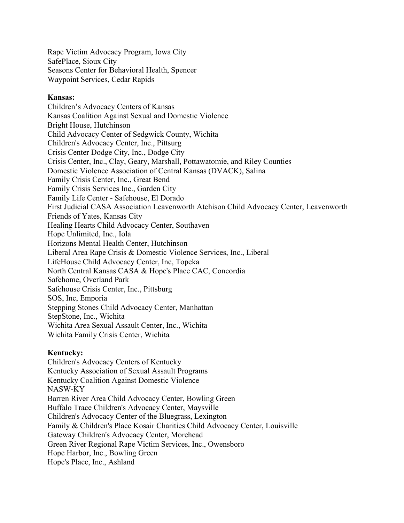Rape Victim Advocacy Program, Iowa City SafePlace, Sioux City Seasons Center for Behavioral Health, Spencer Waypoint Services, Cedar Rapids

# **Kansas:**

Children's Advocacy Centers of Kansas Kansas Coalition Against Sexual and Domestic Violence Bright House, Hutchinson Child Advocacy Center of Sedgwick County, Wichita Children's Advocacy Center, Inc., Pittsurg Crisis Center Dodge City, Inc., Dodge City Crisis Center, Inc., Clay, Geary, Marshall, Pottawatomie, and Riley Counties Domestic Violence Association of Central Kansas (DVACK), Salina Family Crisis Center, Inc., Great Bend Family Crisis Services Inc., Garden City Family Life Center - Safehouse, El Dorado First Judicial CASA Association Leavenworth Atchison Child Advocacy Center, Leavenworth Friends of Yates, Kansas City Healing Hearts Child Advocacy Center, Southaven Hope Unlimited, Inc., Iola Horizons Mental Health Center, Hutchinson Liberal Area Rape Crisis & Domestic Violence Services, Inc., Liberal LifeHouse Child Advocacy Center, Inc, Topeka North Central Kansas CASA & Hope's Place CAC, Concordia Safehome, Overland Park Safehouse Crisis Center, Inc., Pittsburg SOS, Inc, Emporia Stepping Stones Child Advocacy Center, Manhattan StepStone, Inc., Wichita Wichita Area Sexual Assault Center, Inc., Wichita Wichita Family Crisis Center, Wichita

# **Kentucky:**

Children's Advocacy Centers of Kentucky Kentucky Association of Sexual Assault Programs Kentucky Coalition Against Domestic Violence NASW-KY Barren River Area Child Advocacy Center, Bowling Green Buffalo Trace Children's Advocacy Center, Maysville Children's Advocacy Center of the Bluegrass, Lexington Family & Children's Place Kosair Charities Child Advocacy Center, Louisville Gateway Children's Advocacy Center, Morehead Green River Regional Rape Victim Services, Inc., Owensboro Hope Harbor, Inc., Bowling Green Hope's Place, Inc., Ashland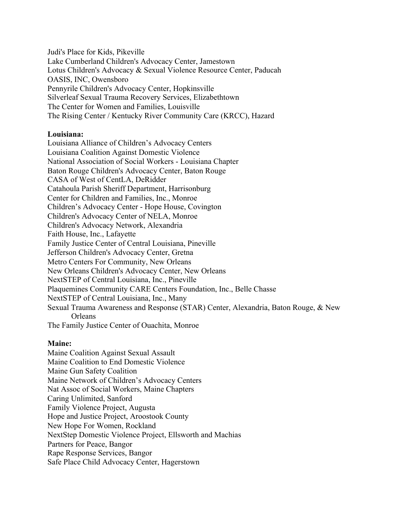Judi's Place for Kids, Pikeville Lake Cumberland Children's Advocacy Center, Jamestown Lotus Children's Advocacy & Sexual Violence Resource Center, Paducah OASIS, INC, Owensboro Pennyrile Children's Advocacy Center, Hopkinsville Silverleaf Sexual Trauma Recovery Services, Elizabethtown The Center for Women and Families, Louisville The Rising Center / Kentucky River Community Care (KRCC), Hazard

# **Louisiana:**

Louisiana Alliance of Children's Advocacy Centers Louisiana Coalition Against Domestic Violence National Association of Social Workers - Louisiana Chapter Baton Rouge Children's Advocacy Center, Baton Rouge CASA of West of CentLA, DeRidder Catahoula Parish Sheriff Department, Harrisonburg Center for Children and Families, Inc., Monroe Children's Advocacy Center - Hope House, Covington Children's Advocacy Center of NELA, Monroe Children's Advocacy Network, Alexandria Faith House, Inc., Lafayette Family Justice Center of Central Louisiana, Pineville Jefferson Children's Advocacy Center, Gretna Metro Centers For Community, New Orleans New Orleans Children's Advocacy Center, New Orleans NextSTEP of Central Louisiana, Inc., Pineville Plaquemines Community CARE Centers Foundation, Inc., Belle Chasse NextSTEP of Central Louisiana, Inc., Many Sexual Trauma Awareness and Response (STAR) Center, Alexandria, Baton Rouge, & New **Orleans** The Family Justice Center of Ouachita, Monroe

# **Maine:**

Maine Coalition Against Sexual Assault Maine Coalition to End Domestic Violence Maine Gun Safety Coalition Maine Network of Children's Advocacy Centers Nat Assoc of Social Workers, Maine Chapters Caring Unlimited, Sanford Family Violence Project, Augusta Hope and Justice Project, Aroostook County New Hope For Women, Rockland NextStep Domestic Violence Project, Ellsworth and Machias Partners for Peace, Bangor Rape Response Services, Bangor Safe Place Child Advocacy Center, Hagerstown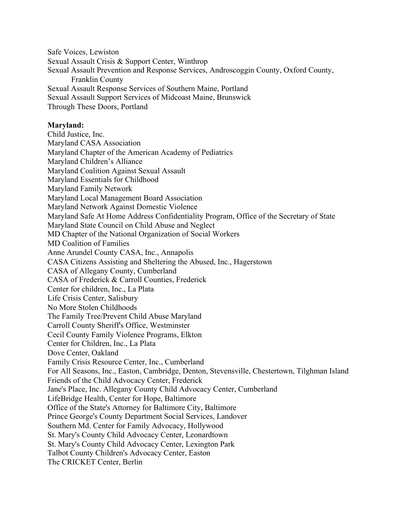Safe Voices, Lewiston Sexual Assault Crisis & Support Center, Winthrop Sexual Assault Prevention and Response Services, Androscoggin County, Oxford County, Franklin County Sexual Assault Response Services of Southern Maine, Portland Sexual Assault Support Services of Midcoast Maine, Brunswick Through These Doors, Portland

### **Maryland:**

Child Justice, Inc. Maryland CASA Association Maryland Chapter of the American Academy of Pediatrics Maryland Children's Alliance Maryland Coalition Against Sexual Assault Maryland Essentials for Childhood Maryland Family Network Maryland Local Management Board Association Maryland Network Against Domestic Violence Maryland Safe At Home Address Confidentiality Program, Office of the Secretary of State Maryland State Council on Child Abuse and Neglect MD Chapter of the National Organization of Social Workers MD Coalition of Families Anne Arundel County CASA, Inc., Annapolis CASA Citizens Assisting and Sheltering the Abused, Inc., Hagerstown CASA of Allegany County, Cumberland CASA of Frederick & Carroll Counties, Frederick Center for children, Inc., La Plata Life Crisis Center, Salisbury No More Stolen Childhoods The Family Tree/Prevent Child Abuse Maryland Carroll County Sheriff's Office, Westminster Cecil County Family Violence Programs, Elkton Center for Children, Inc., La Plata Dove Center, Oakland Family Crisis Resource Center, Inc., Cumberland For All Seasons, Inc., Easton, Cambridge, Denton, Stevensville, Chestertown, Tilghman Island Friends of the Child Advocacy Center, Frederick Jane's Place, Inc. Allegany County Child Advocacy Center, Cumberland LifeBridge Health, Center for Hope, Baltimore Office of the State's Attorney for Baltimore City, Baltimore Prince George's County Department Social Services, Landover Southern Md. Center for Family Advocacy, Hollywood St. Mary's County Child Advocacy Center, Leonardtown St. Mary's County Child Advocacy Center, Lexington Park Talbot County Children's Advocacy Center, Easton The CRICKET Center, Berlin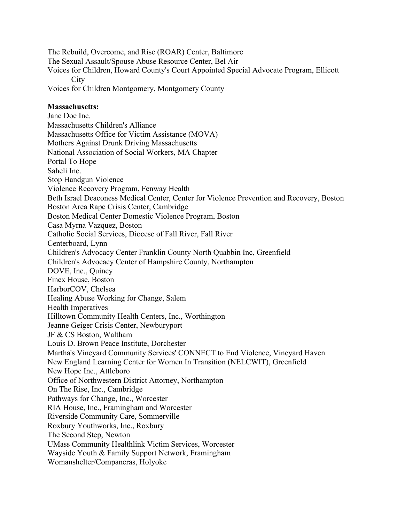The Rebuild, Overcome, and Rise (ROAR) Center, Baltimore The Sexual Assault/Spouse Abuse Resource Center, Bel Air Voices for Children, Howard County's Court Appointed Special Advocate Program, Ellicott **City** Voices for Children Montgomery, Montgomery County **Massachusetts:** Jane Doe Inc. Massachusetts Children's Alliance Massachusetts Office for Victim Assistance (MOVA) Mothers Against Drunk Driving Massachusetts National Association of Social Workers, MA Chapter Portal To Hope Saheli Inc. Stop Handgun Violence Violence Recovery Program, Fenway Health Beth Israel Deaconess Medical Center, Center for Violence Prevention and Recovery, Boston Boston Area Rape Crisis Center, Cambridge Boston Medical Center Domestic Violence Program, Boston Casa Myrna Vazquez, Boston Catholic Social Services, Diocese of Fall River, Fall River Centerboard, Lynn Children's Advocacy Center Franklin County North Quabbin Inc, Greenfield Children's Advocacy Center of Hampshire County, Northampton DOVE, Inc., Quincy Finex House, Boston HarborCOV, Chelsea Healing Abuse Working for Change, Salem Health Imperatives Hilltown Community Health Centers, Inc., Worthington Jeanne Geiger Crisis Center, Newburyport JF & CS Boston, Waltham Louis D. Brown Peace Institute, Dorchester Martha's Vineyard Community Services' CONNECT to End Violence, Vineyard Haven New England Learning Center for Women In Transition (NELCWIT), Greenfield New Hope Inc., Attleboro Office of Northwestern District Attorney, Northampton On The Rise, Inc., Cambridge Pathways for Change, Inc., Worcester RIA House, Inc., Framingham and Worcester Riverside Community Care, Sommerville Roxbury Youthworks, Inc., Roxbury The Second Step, Newton UMass Community Healthlink Victim Services, Worcester Wayside Youth & Family Support Network, Framingham Womanshelter/Companeras, Holyoke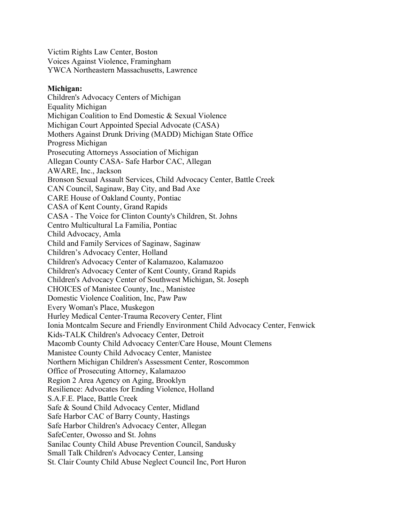Victim Rights Law Center, Boston Voices Against Violence, Framingham YWCA Northeastern Massachusetts, Lawrence

### **Michigan:**

Children's Advocacy Centers of Michigan Equality Michigan Michigan Coalition to End Domestic & Sexual Violence Michigan Court Appointed Special Advocate (CASA) Mothers Against Drunk Driving (MADD) Michigan State Office Progress Michigan Prosecuting Attorneys Association of Michigan Allegan County CASA- Safe Harbor CAC, Allegan AWARE, Inc., Jackson Bronson Sexual Assault Services, Child Advocacy Center, Battle Creek CAN Council, Saginaw, Bay City, and Bad Axe CARE House of Oakland County, Pontiac CASA of Kent County, Grand Rapids CASA - The Voice for Clinton County's Children, St. Johns Centro Multicultural La Familia, Pontiac Child Advocacy, Amla Child and Family Services of Saginaw, Saginaw Children's Advocacy Center, Holland Children's Advocacy Center of Kalamazoo, Kalamazoo Children's Advocacy Center of Kent County, Grand Rapids Children's Advocacy Center of Southwest Michigan, St. Joseph CHOICES of Manistee County, Inc., Manistee Domestic Violence Coalition, Inc, Paw Paw Every Woman's Place, Muskegon Hurley Medical Center-Trauma Recovery Center, Flint Ionia Montcalm Secure and Friendly Environment Child Advocacy Center, Fenwick Kids-TALK Children's Advocacy Center, Detroit Macomb County Child Advocacy Center/Care House, Mount Clemens Manistee County Child Advocacy Center, Manistee Northern Michigan Children's Assessment Center, Roscommon Office of Prosecuting Attorney, Kalamazoo Region 2 Area Agency on Aging, Brooklyn Resilience: Advocates for Ending Violence, Holland S.A.F.E. Place, Battle Creek Safe & Sound Child Advocacy Center, Midland Safe Harbor CAC of Barry County, Hastings Safe Harbor Children's Advocacy Center, Allegan SafeCenter, Owosso and St. Johns Sanilac County Child Abuse Prevention Council, Sandusky Small Talk Children's Advocacy Center, Lansing St. Clair County Child Abuse Neglect Council Inc, Port Huron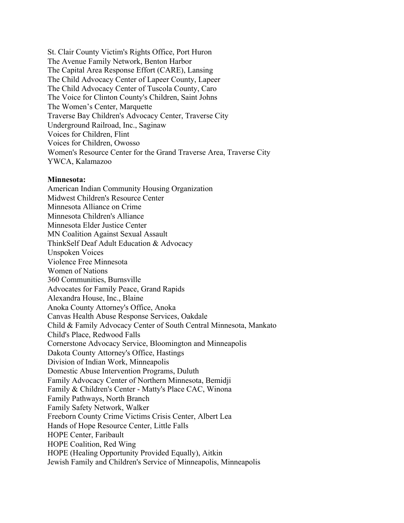St. Clair County Victim's Rights Office, Port Huron The Avenue Family Network, Benton Harbor The Capital Area Response Effort (CARE), Lansing The Child Advocacy Center of Lapeer County, Lapeer The Child Advocacy Center of Tuscola County, Caro The Voice for Clinton County's Children, Saint Johns The Women's Center, Marquette Traverse Bay Children's Advocacy Center, Traverse City Underground Railroad, Inc., Saginaw Voices for Children, Flint Voices for Children, Owosso Women's Resource Center for the Grand Traverse Area, Traverse City YWCA, Kalamazoo

#### **Minnesota:**

American Indian Community Housing Organization Midwest Children's Resource Center Minnesota Alliance on Crime Minnesota Children's Alliance Minnesota Elder Justice Center MN Coalition Against Sexual Assault ThinkSelf Deaf Adult Education & Advocacy Unspoken Voices Violence Free Minnesota Women of Nations 360 Communities, Burnsville Advocates for Family Peace, Grand Rapids Alexandra House, Inc., Blaine Anoka County Attorney's Office, Anoka Canvas Health Abuse Response Services, Oakdale Child & Family Advocacy Center of South Central Minnesota, Mankato Child's Place, Redwood Falls Cornerstone Advocacy Service, Bloomington and Minneapolis Dakota County Attorney's Office, Hastings Division of Indian Work, Minneapolis Domestic Abuse Intervention Programs, Duluth Family Advocacy Center of Northern Minnesota, Bemidji Family & Children's Center - Matty's Place CAC, Winona Family Pathways, North Branch Family Safety Network, Walker Freeborn County Crime Victims Crisis Center, Albert Lea Hands of Hope Resource Center, Little Falls HOPE Center, Faribault HOPE Coalition, Red Wing HOPE (Healing Opportunity Provided Equally), Aitkin Jewish Family and Children's Service of Minneapolis, Minneapolis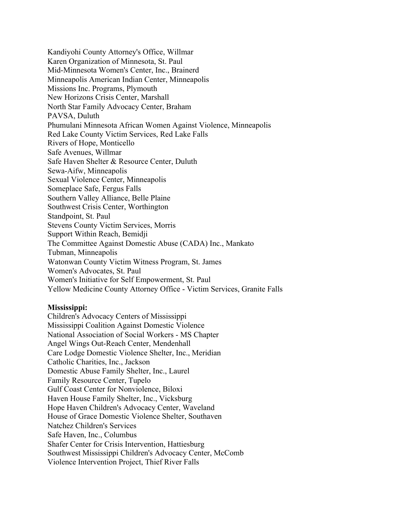Kandiyohi County Attorney's Office, Willmar Karen Organization of Minnesota, St. Paul Mid-Minnesota Women's Center, Inc., Brainerd Minneapolis American Indian Center, Minneapolis Missions Inc. Programs, Plymouth New Horizons Crisis Center, Marshall North Star Family Advocacy Center, Braham PAVSA, Duluth Phumulani Minnesota African Women Against Violence, Minneapolis Red Lake County Victim Services, Red Lake Falls Rivers of Hope, Monticello Safe Avenues, Willmar Safe Haven Shelter & Resource Center, Duluth Sewa-Aifw, Minneapolis Sexual Violence Center, Minneapolis Someplace Safe, Fergus Falls Southern Valley Alliance, Belle Plaine Southwest Crisis Center, Worthington Standpoint, St. Paul Stevens County Victim Services, Morris Support Within Reach, Bemidji The Committee Against Domestic Abuse (CADA) Inc., Mankato Tubman, Minneapolis Watonwan County Victim Witness Program, St. James Women's Advocates, St. Paul Women's Initiative for Self Empowerment, St. Paul Yellow Medicine County Attorney Office - Victim Services, Granite Falls

# **Mississippi:**

Children's Advocacy Centers of Mississippi Mississippi Coalition Against Domestic Violence National Association of Social Workers - MS Chapter Angel Wings Out-Reach Center, Mendenhall Care Lodge Domestic Violence Shelter, Inc., Meridian Catholic Charities, Inc., Jackson Domestic Abuse Family Shelter, Inc., Laurel Family Resource Center, Tupelo Gulf Coast Center for Nonviolence, Biloxi Haven House Family Shelter, Inc., Vicksburg Hope Haven Children's Advocacy Center, Waveland House of Grace Domestic Violence Shelter, Southaven Natchez Children's Services Safe Haven, Inc., Columbus Shafer Center for Crisis Intervention, Hattiesburg Southwest Mississippi Children's Advocacy Center, McComb Violence Intervention Project, Thief River Falls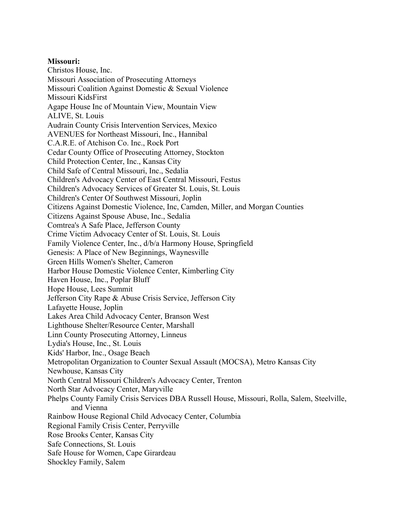### **Missouri:**

Christos House, Inc. Missouri Association of Prosecuting Attorneys Missouri Coalition Against Domestic & Sexual Violence Missouri KidsFirst Agape House Inc of Mountain View, Mountain View ALIVE, St. Louis Audrain County Crisis Intervention Services, Mexico AVENUES for Northeast Missouri, Inc., Hannibal C.A.R.E. of Atchison Co. Inc., Rock Port Cedar County Office of Prosecuting Attorney, Stockton Child Protection Center, Inc., Kansas City Child Safe of Central Missouri, Inc., Sedalia Children's Advocacy Center of East Central Missouri, Festus Children's Advocacy Services of Greater St. Louis, St. Louis Children's Center Of Southwest Missouri, Joplin Citizens Against Domestic Violence, Inc, Camden, Miller, and Morgan Counties Citizens Against Spouse Abuse, Inc., Sedalia Comtrea's A Safe Place, Jefferson County Crime Victim Advocacy Center of St. Louis, St. Louis Family Violence Center, Inc., d/b/a Harmony House, Springfield Genesis: A Place of New Beginnings, Waynesville Green Hills Women's Shelter, Cameron Harbor House Domestic Violence Center, Kimberling City Haven House, Inc., Poplar Bluff Hope House, Lees Summit Jefferson City Rape & Abuse Crisis Service, Jefferson City Lafayette House, Joplin Lakes Area Child Advocacy Center, Branson West Lighthouse Shelter/Resource Center, Marshall Linn County Prosecuting Attorney, Linneus Lydia's House, Inc., St. Louis Kids' Harbor, Inc., Osage Beach Metropolitan Organization to Counter Sexual Assault (MOCSA), Metro Kansas City Newhouse, Kansas City North Central Missouri Children's Advocacy Center, Trenton North Star Advocacy Center, Maryville Phelps County Family Crisis Services DBA Russell House, Missouri, Rolla, Salem, Steelville, and Vienna Rainbow House Regional Child Advocacy Center, Columbia Regional Family Crisis Center, Perryville Rose Brooks Center, Kansas City Safe Connections, St. Louis Safe House for Women, Cape Girardeau Shockley Family, Salem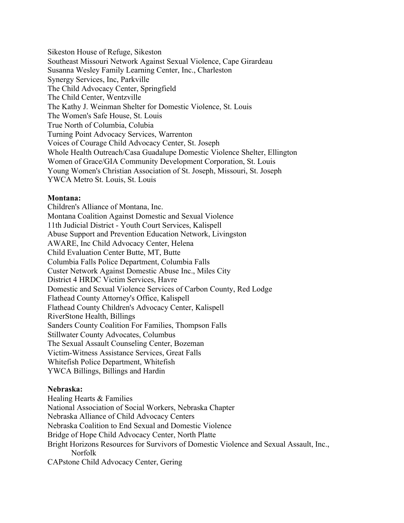Sikeston House of Refuge, Sikeston Southeast Missouri Network Against Sexual Violence, Cape Girardeau Susanna Wesley Family Learning Center, Inc., Charleston Synergy Services, Inc, Parkville The Child Advocacy Center, Springfield The Child Center, Wentzville The Kathy J. Weinman Shelter for Domestic Violence, St. Louis The Women's Safe House, St. Louis True North of Columbia, Colubia Turning Point Advocacy Services, Warrenton Voices of Courage Child Advocacy Center, St. Joseph Whole Health Outreach/Casa Guadalupe Domestic Violence Shelter, Ellington Women of Grace/GIA Community Development Corporation, St. Louis Young Women's Christian Association of St. Joseph, Missouri, St. Joseph YWCA Metro St. Louis, St. Louis

# **Montana:**

Children's Alliance of Montana, Inc. Montana Coalition Against Domestic and Sexual Violence 11th Judicial District - Youth Court Services, Kalispell Abuse Support and Prevention Education Network, Livingston AWARE, Inc Child Advocacy Center, Helena Child Evaluation Center Butte, MT, Butte Columbia Falls Police Department, Columbia Falls Custer Network Against Domestic Abuse Inc., Miles City District 4 HRDC Victim Services, Havre Domestic and Sexual Violence Services of Carbon County, Red Lodge Flathead County Attorney's Office, Kalispell Flathead County Children's Advocacy Center, Kalispell RiverStone Health, Billings Sanders County Coalition For Families, Thompson Falls Stillwater County Advocates, Columbus The Sexual Assault Counseling Center, Bozeman Victim-Witness Assistance Services, Great Falls Whitefish Police Department, Whitefish YWCA Billings, Billings and Hardin

# **Nebraska:**

Healing Hearts & Families National Association of Social Workers, Nebraska Chapter Nebraska Alliance of Child Advocacy Centers Nebraska Coalition to End Sexual and Domestic Violence Bridge of Hope Child Advocacy Center, North Platte Bright Horizons Resources for Survivors of Domestic Violence and Sexual Assault, Inc., Norfolk CAPstone Child Advocacy Center, Gering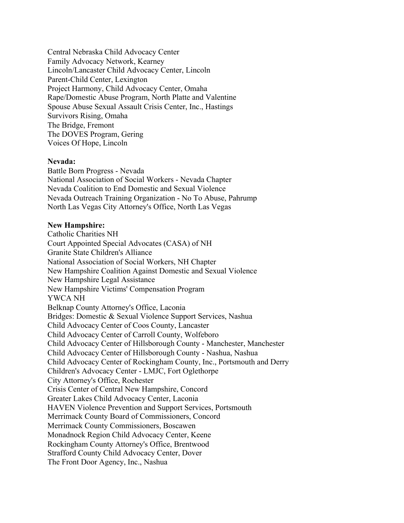Central Nebraska Child Advocacy Center Family Advocacy Network, Kearney Lincoln/Lancaster Child Advocacy Center, Lincoln Parent-Child Center, Lexington Project Harmony, Child Advocacy Center, Omaha Rape/Domestic Abuse Program, North Platte and Valentine Spouse Abuse Sexual Assault Crisis Center, Inc., Hastings Survivors Rising, Omaha The Bridge, Fremont The DOVES Program, Gering Voices Of Hope, Lincoln

#### **Nevada:**

Battle Born Progress - Nevada National Association of Social Workers - Nevada Chapter Nevada Coalition to End Domestic and Sexual Violence Nevada Outreach Training Organization - No To Abuse, Pahrump North Las Vegas City Attorney's Office, North Las Vegas

#### **New Hampshire:**

Catholic Charities NH Court Appointed Special Advocates (CASA) of NH Granite State Children's Alliance National Association of Social Workers, NH Chapter New Hampshire Coalition Against Domestic and Sexual Violence New Hampshire Legal Assistance New Hampshire Victims' Compensation Program YWCA NH Belknap County Attorney's Office, Laconia Bridges: Domestic & Sexual Violence Support Services, Nashua Child Advocacy Center of Coos County, Lancaster Child Advocacy Center of Carroll County, Wolfeboro Child Advocacy Center of Hillsborough County - Manchester, Manchester Child Advocacy Center of Hillsborough County - Nashua, Nashua Child Advocacy Center of Rockingham County, Inc., Portsmouth and Derry Children's Advocacy Center - LMJC, Fort Oglethorpe City Attorney's Office, Rochester Crisis Center of Central New Hampshire, Concord Greater Lakes Child Advocacy Center, Laconia HAVEN Violence Prevention and Support Services, Portsmouth Merrimack County Board of Commissioners, Concord Merrimack County Commissioners, Boscawen Monadnock Region Child Advocacy Center, Keene Rockingham County Attorney's Office, Brentwood Strafford County Child Advocacy Center, Dover The Front Door Agency, Inc., Nashua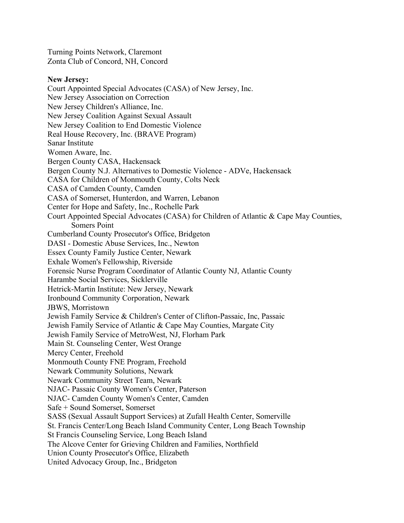Turning Points Network, Claremont Zonta Club of Concord, NH, Concord

### **New Jersey:**

Court Appointed Special Advocates (CASA) of New Jersey, Inc. New Jersey Association on Correction New Jersey Children's Alliance, Inc. New Jersey Coalition Against Sexual Assault New Jersey Coalition to End Domestic Violence Real House Recovery, Inc. (BRAVE Program) Sanar Institute Women Aware, Inc. Bergen County CASA, Hackensack Bergen County N.J. Alternatives to Domestic Violence - ADVe, Hackensack CASA for Children of Monmouth County, Colts Neck CASA of Camden County, Camden CASA of Somerset, Hunterdon, and Warren, Lebanon Center for Hope and Safety, Inc., Rochelle Park Court Appointed Special Advocates (CASA) for Children of Atlantic & Cape May Counties, Somers Point Cumberland County Prosecutor's Office, Bridgeton DASI - Domestic Abuse Services, Inc., Newton Essex County Family Justice Center, Newark Exhale Women's Fellowship, Riverside Forensic Nurse Program Coordinator of Atlantic County NJ, Atlantic County Harambe Social Services, Sicklerville Hetrick-Martin Institute: New Jersey, Newark Ironbound Community Corporation, Newark JBWS, Morristown Jewish Family Service & Children's Center of Clifton-Passaic, Inc, Passaic Jewish Family Service of Atlantic & Cape May Counties, Margate City Jewish Family Service of MetroWest, NJ, Florham Park Main St. Counseling Center, West Orange Mercy Center, Freehold Monmouth County FNE Program, Freehold Newark Community Solutions, Newark Newark Community Street Team, Newark NJAC- Passaic County Women's Center, Paterson NJAC- Camden County Women's Center, Camden Safe + Sound Somerset, Somerset SASS (Sexual Assault Support Services) at Zufall Health Center, Somerville St. Francis Center/Long Beach Island Community Center, Long Beach Township St Francis Counseling Service, Long Beach Island The Alcove Center for Grieving Children and Families, Northfield Union County Prosecutor's Office, Elizabeth United Advocacy Group, Inc., Bridgeton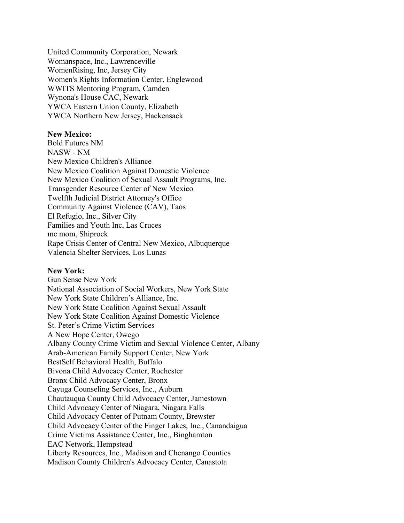United Community Corporation, Newark Womanspace, Inc., Lawrenceville WomenRising, Inc, Jersey City Women's Rights Information Center, Englewood WWITS Mentoring Program, Camden Wynona's House CAC, Newark YWCA Eastern Union County, Elizabeth YWCA Northern New Jersey, Hackensack

### **New Mexico:**

Bold Futures NM NASW - NM New Mexico Children's Alliance New Mexico Coalition Against Domestic Violence New Mexico Coalition of Sexual Assault Programs, Inc. Transgender Resource Center of New Mexico Twelfth Judicial District Attorney's Office Community Against Violence (CAV), Taos El Refugio, Inc., Silver City Families and Youth Inc, Las Cruces me mom, Shiprock Rape Crisis Center of Central New Mexico, Albuquerque Valencia Shelter Services, Los Lunas

#### **New York:**

Gun Sense New York National Association of Social Workers, New York State New York State Children's Alliance, Inc. New York State Coalition Against Sexual Assault New York State Coalition Against Domestic Violence St. Peter's Crime Victim Services A New Hope Center, Owego Albany County Crime Victim and Sexual Violence Center, Albany Arab-American Family Support Center, New York BestSelf Behavioral Health, Buffalo Bivona Child Advocacy Center, Rochester Bronx Child Advocacy Center, Bronx Cayuga Counseling Services, Inc., Auburn Chautauqua County Child Advocacy Center, Jamestown Child Advocacy Center of Niagara, Niagara Falls Child Advocacy Center of Putnam County, Brewster Child Advocacy Center of the Finger Lakes, Inc., Canandaigua Crime Victims Assistance Center, Inc., Binghamton EAC Network, Hempstead Liberty Resources, Inc., Madison and Chenango Counties Madison County Children's Advocacy Center, Canastota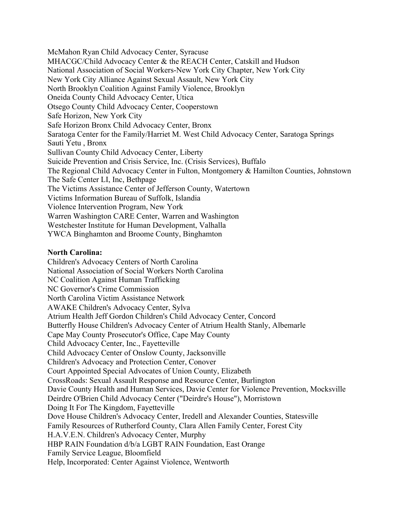McMahon Ryan Child Advocacy Center, Syracuse MHACGC/Child Advocacy Center & the REACH Center, Catskill and Hudson National Association of Social Workers-New York City Chapter, New York City New York City Alliance Against Sexual Assault, New York City North Brooklyn Coalition Against Family Violence, Brooklyn Oneida County Child Advocacy Center, Utica Otsego County Child Advocacy Center, Cooperstown Safe Horizon, New York City Safe Horizon Bronx Child Advocacy Center, Bronx Saratoga Center for the Family/Harriet M. West Child Advocacy Center, Saratoga Springs Sauti Yetu , Bronx Sullivan County Child Advocacy Center, Liberty Suicide Prevention and Crisis Service, Inc. (Crisis Services), Buffalo The Regional Child Advocacy Center in Fulton, Montgomery & Hamilton Counties, Johnstown The Safe Center LI, Inc, Bethpage The Victims Assistance Center of Jefferson County, Watertown Victims Information Bureau of Suffolk, Islandia Violence Intervention Program, New York Warren Washington CARE Center, Warren and Washington Westchester Institute for Human Development, Valhalla YWCA Binghamton and Broome County, Binghamton

### **North Carolina:**

Children's Advocacy Centers of North Carolina National Association of Social Workers North Carolina NC Coalition Against Human Trafficking NC Governor's Crime Commission North Carolina Victim Assistance Network AWAKE Children's Advocacy Center, Sylva Atrium Health Jeff Gordon Children's Child Advocacy Center, Concord Butterfly House Children's Advocacy Center of Atrium Health Stanly, Albemarle Cape May County Prosecutor's Office, Cape May County Child Advocacy Center, Inc., Fayetteville Child Advocacy Center of Onslow County, Jacksonville Children's Advocacy and Protection Center, Conover Court Appointed Special Advocates of Union County, Elizabeth CrossRoads: Sexual Assault Response and Resource Center, Burlington Davie County Health and Human Services, Davie Center for Violence Prevention, Mocksville Deirdre O'Brien Child Advocacy Center ("Deirdre's House"), Morristown Doing It For The Kingdom, Fayetteville Dove House Children's Advocacy Center, Iredell and Alexander Counties, Statesville Family Resources of Rutherford County, Clara Allen Family Center, Forest City H.A.V.E.N. Children's Advocacy Center, Murphy HBP RAIN Foundation d/b/a LGBT RAIN Foundation, East Orange Family Service League, Bloomfield Help, Incorporated: Center Against Violence, Wentworth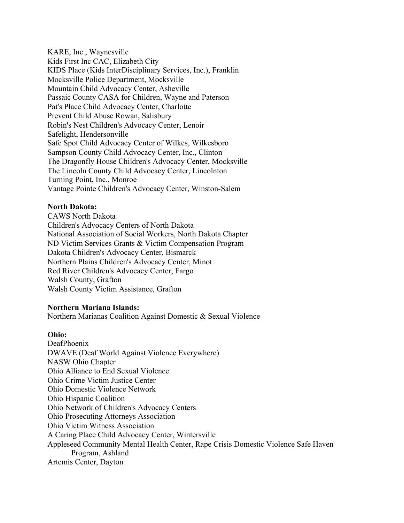KARE, Inc., Waynesville Kids First Inc CAC, Elizabeth City KIDS Place (Kids InterDisciplinary Services, Inc.), Franklin Mocksville Police Department, Mocksville Mountain Child Advocacy Center, Asheville Passaic County CASA for Children, Wayne and Paterson Pat's Place Child Advocacy Center, Charlotte Prevent Child Abuse Rowan, Salisbury Robin's Nest Children's Advocacy Center, Lenoir Safelight, Hendersonville Safe Spot Child Advocacy Center of Wilkes, Wilkesboro Sampson County Child Advocacy Center, Inc., Clinton The Dragonfly House Children's Advocacy Center, Mocksville The Lincoln County Child Advocacy Center, Lincolnton Turning Point, Inc., Monroe Vantage Pointe Children's Advocacy Center, Winston-Salem

# **North Dakota:**

CAWS North Dakota Children's Advocacy Centers of North Dakota National Association of Social Workers, North Dakota Chapter ND Victim Services Grants & Victim Compensation Program Dakota Children's Advocacy Center, Bismarck Northern Plains Children's Advocacy Center, Minot Red River Children's Advocacy Center, Fargo Walsh County, Grafton Walsh County Victim Assistance, Grafton

# **Northern Mariana Islands:**

Northern Marianas Coalition Against Domestic & Sexual Violence

# **Ohio:**

DeafPhoenix DWAVE (Deaf World Against Violence Everywhere) NASW Ohio Chapter Ohio Alliance to End Sexual Violence Ohio Crime Victim Justice Center Ohio Domestic Violence Network Ohio Hispanic Coalition Ohio Network of Children's Advocacy Centers Ohio Prosecuting Attorneys Association Ohio Victim Witness Association A Caring Place Child Advocacy Center, Wintersville Appleseed Community Mental Health Center, Rape Crisis Domestic Violence Safe Haven Program, Ashland Artemis Center, Dayton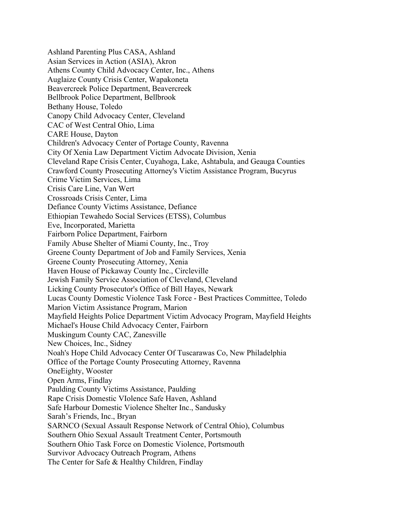Ashland Parenting Plus CASA, Ashland Asian Services in Action (ASIA), Akron Athens County Child Advocacy Center, Inc., Athens Auglaize County Crisis Center, Wapakoneta Beavercreek Police Department, Beavercreek Bellbrook Police Department, Bellbrook Bethany House, Toledo Canopy Child Advocacy Center, Cleveland CAC of West Central Ohio, Lima CARE House, Dayton Children's Advocacy Center of Portage County, Ravenna City Of Xenia Law Department Victim Advocate Division, Xenia Cleveland Rape Crisis Center, Cuyahoga, Lake, Ashtabula, and Geauga Counties Crawford County Prosecuting Attorney's Victim Assistance Program, Bucyrus Crime Victim Services, Lima Crisis Care Line, Van Wert Crossroads Crisis Center, Lima Defiance County Victims Assistance, Defiance Ethiopian Tewahedo Social Services (ETSS), Columbus Eve, Incorporated, Marietta Fairborn Police Department, Fairborn Family Abuse Shelter of Miami County, Inc., Troy Greene County Department of Job and Family Services, Xenia Greene County Prosecuting Attorney, Xenia Haven House of Pickaway County Inc., Circleville Jewish Family Service Association of Cleveland, Cleveland Licking County Prosecutor's Office of Bill Hayes, Newark Lucas County Domestic Violence Task Force - Best Practices Committee, Toledo Marion Victim Assistance Program, Marion Mayfield Heights Police Department Victim Advocacy Program, Mayfield Heights Michael's House Child Advocacy Center, Fairborn Muskingum County CAC, Zanesville New Choices, Inc., Sidney Noah's Hope Child Advocacy Center Of Tuscarawas Co, New Philadelphia Office of the Portage County Prosecuting Attorney, Ravenna OneEighty, Wooster Open Arms, Findlay Paulding County Victims Assistance, Paulding Rape Crisis Domestic VIolence Safe Haven, Ashland Safe Harbour Domestic Violence Shelter Inc., Sandusky Sarah's Friends, Inc., Bryan SARNCO (Sexual Assault Response Network of Central Ohio), Columbus Southern Ohio Sexual Assault Treatment Center, Portsmouth Southern Ohio Task Force on Domestic Violence, Portsmouth Survivor Advocacy Outreach Program, Athens The Center for Safe & Healthy Children, Findlay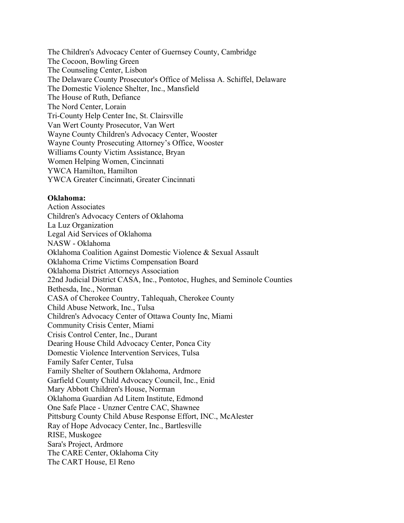The Children's Advocacy Center of Guernsey County, Cambridge The Cocoon, Bowling Green The Counseling Center, Lisbon The Delaware County Prosecutor's Office of Melissa A. Schiffel, Delaware The Domestic Violence Shelter, Inc., Mansfield The House of Ruth, Defiance The Nord Center, Lorain Tri-County Help Center Inc, St. Clairsville Van Wert County Prosecutor, Van Wert Wayne County Children's Advocacy Center, Wooster Wayne County Prosecuting Attorney's Office, Wooster Williams County Victim Assistance, Bryan Women Helping Women, Cincinnati YWCA Hamilton, Hamilton YWCA Greater Cincinnati, Greater Cincinnati

### **Oklahoma:**

Action Associates Children's Advocacy Centers of Oklahoma La Luz Organization Legal Aid Services of Oklahoma NASW - Oklahoma Oklahoma Coalition Against Domestic Violence & Sexual Assault Oklahoma Crime Victims Compensation Board Oklahoma District Attorneys Association 22nd Judicial District CASA, Inc., Pontotoc, Hughes, and Seminole Counties Bethesda, Inc., Norman CASA of Cherokee Country, Tahlequah, Cherokee County Child Abuse Network, Inc., Tulsa Children's Advocacy Center of Ottawa County Inc, Miami Community Crisis Center, Miami Crisis Control Center, Inc., Durant Dearing House Child Advocacy Center, Ponca City Domestic Violence Intervention Services, Tulsa Family Safer Center, Tulsa Family Shelter of Southern Oklahoma, Ardmore Garfield County Child Advocacy Council, Inc., Enid Mary Abbott Children's House, Norman Oklahoma Guardian Ad Litem Institute, Edmond One Safe Place - Unzner Centre CAC, Shawnee Pittsburg County Child Abuse Response Effort, INC., McAlester Ray of Hope Advocacy Center, Inc., Bartlesville RISE, Muskogee Sara's Project, Ardmore The CARE Center, Oklahoma City The CART House, El Reno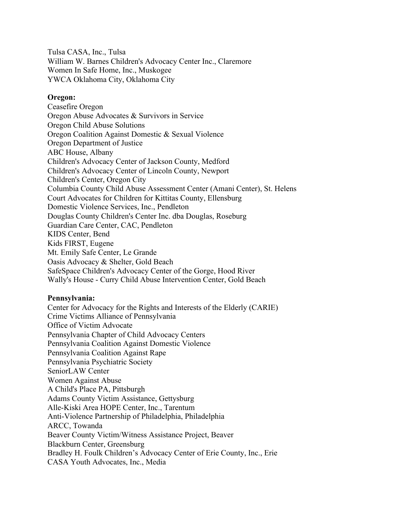Tulsa CASA, Inc., Tulsa William W. Barnes Children's Advocacy Center Inc., Claremore Women In Safe Home, Inc., Muskogee YWCA Oklahoma City, Oklahoma City

# **Oregon:**

Ceasefire Oregon Oregon Abuse Advocates & Survivors in Service Oregon Child Abuse Solutions Oregon Coalition Against Domestic & Sexual Violence Oregon Department of Justice ABC House, Albany Children's Advocacy Center of Jackson County, Medford Children's Advocacy Center of Lincoln County, Newport Children's Center, Oregon City Columbia County Child Abuse Assessment Center (Amani Center), St. Helens Court Advocates for Children for Kittitas County, Ellensburg Domestic Violence Services, Inc., Pendleton Douglas County Children's Center Inc. dba Douglas, Roseburg Guardian Care Center, CAC, Pendleton KIDS Center, Bend Kids FIRST, Eugene Mt. Emily Safe Center, Le Grande Oasis Advocacy & Shelter, Gold Beach SafeSpace Children's Advocacy Center of the Gorge, Hood River Wally's House - Curry Child Abuse Intervention Center, Gold Beach

# **Pennsylvania:**

Center for Advocacy for the Rights and Interests of the Elderly (CARIE) Crime Victims Alliance of Pennsylvania Office of Victim Advocate Pennsylvania Chapter of Child Advocacy Centers Pennsylvania Coalition Against Domestic Violence Pennsylvania Coalition Against Rape Pennsylvania Psychiatric Society SeniorLAW Center Women Against Abuse A Child's Place PA, Pittsburgh Adams County Victim Assistance, Gettysburg Alle-Kiski Area HOPE Center, Inc., Tarentum Anti-Violence Partnership of Philadelphia, Philadelphia ARCC, Towanda Beaver County Victim/Witness Assistance Project, Beaver Blackburn Center, Greensburg Bradley H. Foulk Children's Advocacy Center of Erie County, Inc., Erie CASA Youth Advocates, Inc., Media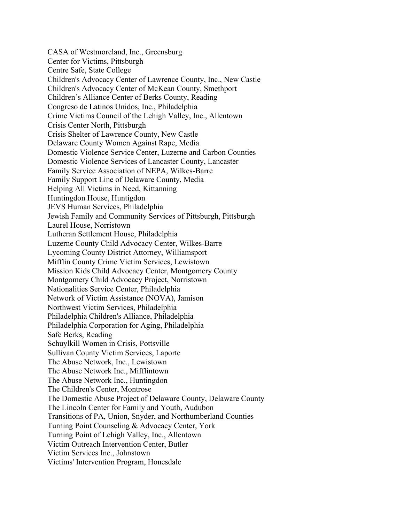CASA of Westmoreland, Inc., Greensburg Center for Victims, Pittsburgh Centre Safe, State College Children's Advocacy Center of Lawrence County, Inc., New Castle Children's Advocacy Center of McKean County, Smethport Children's Alliance Center of Berks County, Reading Congreso de Latinos Unidos, Inc., Philadelphia Crime Victims Council of the Lehigh Valley, Inc., Allentown Crisis Center North, Pittsburgh Crisis Shelter of Lawrence County, New Castle Delaware County Women Against Rape, Media Domestic Violence Service Center, Luzerne and Carbon Counties Domestic Violence Services of Lancaster County, Lancaster Family Service Association of NEPA, Wilkes-Barre Family Support Line of Delaware County, Media Helping All Victims in Need, Kittanning Huntingdon House, Huntigdon JEVS Human Services, Philadelphia Jewish Family and Community Services of Pittsburgh, Pittsburgh Laurel House, Norristown Lutheran Settlement House, Philadelphia Luzerne County Child Advocacy Center, Wilkes-Barre Lycoming County District Attorney, Williamsport Mifflin County Crime Victim Services, Lewistown Mission Kids Child Advocacy Center, Montgomery County Montgomery Child Advocacy Project, Norristown Nationalities Service Center, Philadelphia Network of Victim Assistance (NOVA), Jamison Northwest Victim Services, Philadelphia Philadelphia Children's Alliance, Philadelphia Philadelphia Corporation for Aging, Philadelphia Safe Berks, Reading Schuylkill Women in Crisis, Pottsville Sullivan County Victim Services, Laporte The Abuse Network, Inc., Lewistown The Abuse Network Inc., Mifflintown The Abuse Network Inc., Huntingdon The Children's Center, Montrose The Domestic Abuse Project of Delaware County, Delaware County The Lincoln Center for Family and Youth, Audubon Transitions of PA, Union, Snyder, and Northumberland Counties Turning Point Counseling & Advocacy Center, York Turning Point of Lehigh Valley, Inc., Allentown Victim Outreach Intervention Center, Butler Victim Services Inc., Johnstown Victims' Intervention Program, Honesdale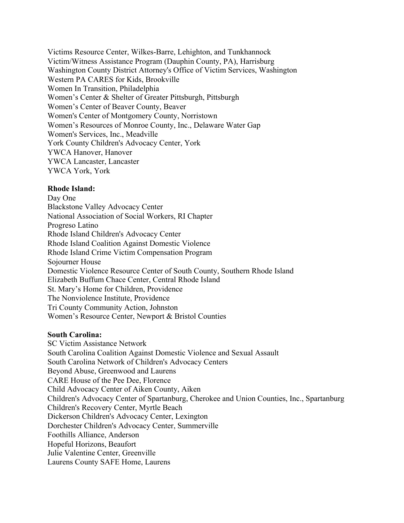Victims Resource Center, Wilkes-Barre, Lehighton, and Tunkhannock Victim/Witness Assistance Program (Dauphin County, PA), Harrisburg Washington County District Attorney's Office of Victim Services, Washington Western PA CARES for Kids, Brookville Women In Transition, Philadelphia Women's Center & Shelter of Greater Pittsburgh, Pittsburgh Women's Center of Beaver County, Beaver Women's Center of Montgomery County, Norristown Women's Resources of Monroe County, Inc., Delaware Water Gap Women's Services, Inc., Meadville York County Children's Advocacy Center, York YWCA Hanover, Hanover YWCA Lancaster, Lancaster YWCA York, York

# **Rhode Island:**

Day One Blackstone Valley Advocacy Center National Association of Social Workers, RI Chapter Progreso Latino Rhode Island Children's Advocacy Center Rhode Island Coalition Against Domestic Violence Rhode Island Crime Victim Compensation Program Sojourner House Domestic Violence Resource Center of South County, Southern Rhode Island Elizabeth Buffum Chace Center, Central Rhode Island St. Mary's Home for Children, Providence The Nonviolence Institute, Providence Tri County Community Action, Johnston Women's Resource Center, Newport & Bristol Counties

# **South Carolina:**

SC Victim Assistance Network South Carolina Coalition Against Domestic Violence and Sexual Assault South Carolina Network of Children's Advocacy Centers Beyond Abuse, Greenwood and Laurens CARE House of the Pee Dee, Florence Child Advocacy Center of Aiken County, Aiken Children's Advocacy Center of Spartanburg, Cherokee and Union Counties, Inc., Spartanburg Children's Recovery Center, Myrtle Beach Dickerson Children's Advocacy Center, Lexington Dorchester Children's Advocacy Center, Summerville Foothills Alliance, Anderson Hopeful Horizons, Beaufort Julie Valentine Center, Greenville Laurens County SAFE Home, Laurens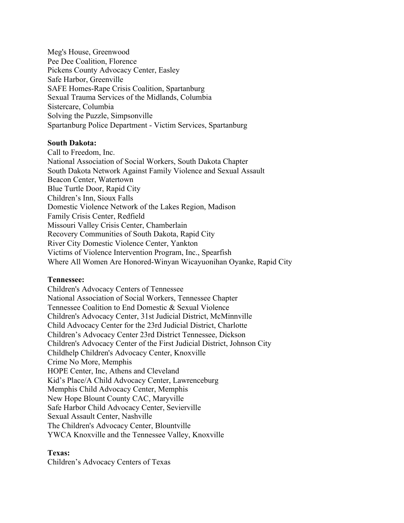Meg's House, Greenwood Pee Dee Coalition, Florence Pickens County Advocacy Center, Easley Safe Harbor, Greenville SAFE Homes-Rape Crisis Coalition, Spartanburg Sexual Trauma Services of the Midlands, Columbia Sistercare, Columbia Solving the Puzzle, Simpsonville Spartanburg Police Department - Victim Services, Spartanburg

# **South Dakota:**

Call to Freedom, Inc. National Association of Social Workers, South Dakota Chapter South Dakota Network Against Family Violence and Sexual Assault Beacon Center, Watertown Blue Turtle Door, Rapid City Children's Inn, Sioux Falls Domestic Violence Network of the Lakes Region, Madison Family Crisis Center, Redfield Missouri Valley Crisis Center, Chamberlain Recovery Communities of South Dakota, Rapid City River City Domestic Violence Center, Yankton Victims of Violence Intervention Program, Inc., Spearfish Where All Women Are Honored-Winyan Wicayuonihan Oyanke, Rapid City

#### **Tennessee:**

Children's Advocacy Centers of Tennessee National Association of Social Workers, Tennessee Chapter Tennessee Coalition to End Domestic & Sexual Violence Children's Advocacy Center, 31st Judicial District, McMinnville Child Advocacy Center for the 23rd Judicial District, Charlotte Children's Advocacy Center 23rd District Tennessee, Dickson Children's Advocacy Center of the First Judicial District, Johnson City Childhelp Children's Advocacy Center, Knoxville Crime No More, Memphis HOPE Center, Inc, Athens and Cleveland Kid's Place/A Child Advocacy Center, Lawrenceburg Memphis Child Advocacy Center, Memphis New Hope Blount County CAC, Maryville Safe Harbor Child Advocacy Center, Sevierville Sexual Assault Center, Nashville The Children's Advocacy Center, Blountville YWCA Knoxville and the Tennessee Valley, Knoxville

#### **Texas:**

Children's Advocacy Centers of Texas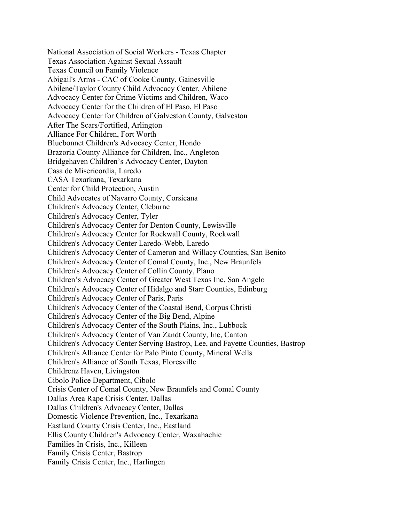National Association of Social Workers - Texas Chapter Texas Association Against Sexual Assault Texas Council on Family Violence Abigail's Arms - CAC of Cooke County, Gainesville Abilene/Taylor County Child Advocacy Center, Abilene Advocacy Center for Crime Victims and Children, Waco Advocacy Center for the Children of El Paso, El Paso Advocacy Center for Children of Galveston County, Galveston After The Scars/Fortified, Arlington Alliance For Children, Fort Worth Bluebonnet Children's Advocacy Center, Hondo Brazoria County Alliance for Children, Inc., Angleton Bridgehaven Children's Advocacy Center, Dayton Casa de Misericordia, Laredo CASA Texarkana, Texarkana Center for Child Protection, Austin Child Advocates of Navarro County, Corsicana Children's Advocacy Center, Cleburne Children's Advocacy Center, Tyler Children's Advocacy Center for Denton County, Lewisville Children's Advocacy Center for Rockwall County, Rockwall Children's Advocacy Center Laredo-Webb, Laredo Children's Advocacy Center of Cameron and Willacy Counties, San Benito Children's Advocacy Center of Comal County, Inc., New Braunfels Children's Advocacy Center of Collin County, Plano Children's Advocacy Center of Greater West Texas Inc, San Angelo Children's Advocacy Center of Hidalgo and Starr Counties, Edinburg Children's Advocacy Center of Paris, Paris Children's Advocacy Center of the Coastal Bend, Corpus Christi Children's Advocacy Center of the Big Bend, Alpine Children's Advocacy Center of the South Plains, Inc., Lubbock Children's Advocacy Center of Van Zandt County, Inc, Canton Children's Advocacy Center Serving Bastrop, Lee, and Fayette Counties, Bastrop Children's Alliance Center for Palo Pinto County, Mineral Wells Children's Alliance of South Texas, Floresville Childrenz Haven, Livingston Cibolo Police Department, Cibolo Crisis Center of Comal County, New Braunfels and Comal County Dallas Area Rape Crisis Center, Dallas Dallas Children's Advocacy Center, Dallas Domestic Violence Prevention, Inc., Texarkana Eastland County Crisis Center, Inc., Eastland Ellis County Children's Advocacy Center, Waxahachie Families In Crisis, Inc., Killeen Family Crisis Center, Bastrop Family Crisis Center, Inc., Harlingen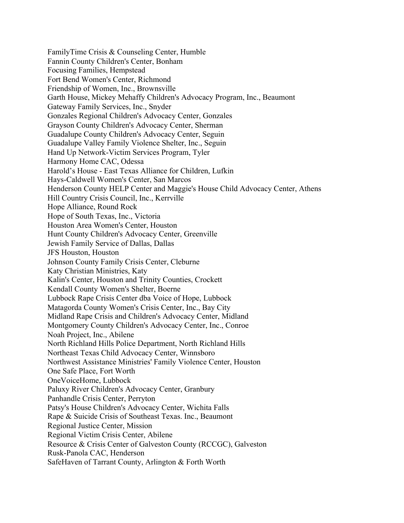FamilyTime Crisis & Counseling Center, Humble Fannin County Children's Center, Bonham Focusing Families, Hempstead Fort Bend Women's Center, Richmond Friendship of Women, Inc., Brownsville Garth House, Mickey Mehaffy Children's Advocacy Program, Inc., Beaumont Gateway Family Services, Inc., Snyder Gonzales Regional Children's Advocacy Center, Gonzales Grayson County Children's Advocacy Center, Sherman Guadalupe County Children's Advocacy Center, Seguin Guadalupe Valley Family Violence Shelter, Inc., Seguin Hand Up Network-Victim Services Program, Tyler Harmony Home CAC, Odessa Harold's House - East Texas Alliance for Children, Lufkin Hays-Caldwell Women's Center, San Marcos Henderson County HELP Center and Maggie's House Child Advocacy Center, Athens Hill Country Crisis Council, Inc., Kerrville Hope Alliance, Round Rock Hope of South Texas, Inc., Victoria Houston Area Women's Center, Houston Hunt County Children's Advocacy Center, Greenville Jewish Family Service of Dallas, Dallas JFS Houston, Houston Johnson County Family Crisis Center, Cleburne Katy Christian Ministries, Katy Kalin's Center, Houston and Trinity Counties, Crockett Kendall County Women's Shelter, Boerne Lubbock Rape Crisis Center dba Voice of Hope, Lubbock Matagorda County Women's Crisis Center, Inc., Bay City Midland Rape Crisis and Children's Advocacy Center, Midland Montgomery County Children's Advocacy Center, Inc., Conroe Noah Project, Inc., Abilene North Richland Hills Police Department, North Richland Hills Northeast Texas Child Advocacy Center, Winnsboro Northwest Assistance Ministries' Family Violence Center, Houston One Safe Place, Fort Worth OneVoiceHome, Lubbock Paluxy River Children's Advocacy Center, Granbury Panhandle Crisis Center, Perryton Patsy's House Children's Advocacy Center, Wichita Falls Rape & Suicide Crisis of Southeast Texas. Inc., Beaumont Regional Justice Center, Mission Regional Victim Crisis Center, Abilene Resource & Crisis Center of Galveston County (RCCGC), Galveston Rusk-Panola CAC, Henderson SafeHaven of Tarrant County, Arlington & Forth Worth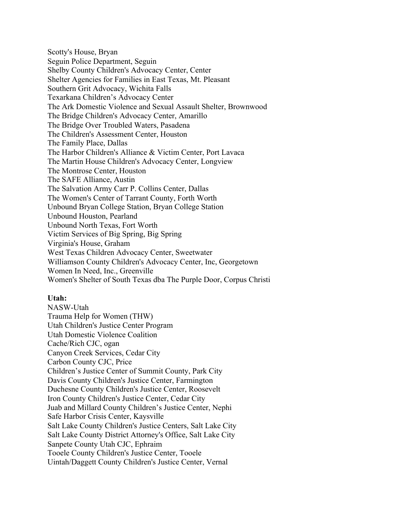Scotty's House, Bryan Seguin Police Department, Seguin Shelby County Children's Advocacy Center, Center Shelter Agencies for Families in East Texas, Mt. Pleasant Southern Grit Advocacy, Wichita Falls Texarkana Children's Advocacy Center The Ark Domestic Violence and Sexual Assault Shelter, Brownwood The Bridge Children's Advocacy Center, Amarillo The Bridge Over Troubled Waters, Pasadena The Children's Assessment Center, Houston The Family Place, Dallas The Harbor Children's Alliance & Victim Center, Port Lavaca The Martin House Children's Advocacy Center, Longview The Montrose Center, Houston The SAFE Alliance, Austin The Salvation Army Carr P. Collins Center, Dallas The Women's Center of Tarrant County, Forth Worth Unbound Bryan College Station, Bryan College Station Unbound Houston, Pearland Unbound North Texas, Fort Worth Victim Services of Big Spring, Big Spring Virginia's House, Graham West Texas Children Advocacy Center, Sweetwater Williamson County Children's Advocacy Center, Inc, Georgetown Women In Need, Inc., Greenville Women's Shelter of South Texas dba The Purple Door, Corpus Christi

# **Utah:**

NASW-Utah Trauma Help for Women (THW) Utah Children's Justice Center Program Utah Domestic Violence Coalition Cache/Rich CJC, ogan Canyon Creek Services, Cedar City Carbon County CJC, Price Children's Justice Center of Summit County, Park City Davis County Children's Justice Center, Farmington Duchesne County Children's Justice Center, Roosevelt Iron County Children's Justice Center, Cedar City Juab and Millard County Children's Justice Center, Nephi Safe Harbor Crisis Center, Kaysville Salt Lake County Children's Justice Centers, Salt Lake City Salt Lake County District Attorney's Office, Salt Lake City Sanpete County Utah CJC, Ephraim Tooele County Children's Justice Center, Tooele Uintah/Daggett County Children's Justice Center, Vernal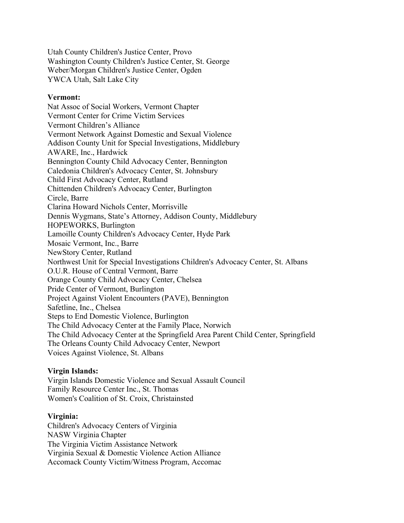Utah County Children's Justice Center, Provo Washington County Children's Justice Center, St. George Weber/Morgan Children's Justice Center, Ogden YWCA Utah, Salt Lake City

### **Vermont:**

Nat Assoc of Social Workers, Vermont Chapter Vermont Center for Crime Victim Services Vermont Children's Alliance Vermont Network Against Domestic and Sexual Violence Addison County Unit for Special Investigations, Middlebury AWARE, Inc., Hardwick Bennington County Child Advocacy Center, Bennington Caledonia Children's Advocacy Center, St. Johnsbury Child First Advocacy Center, Rutland Chittenden Children's Advocacy Center, Burlington Circle, Barre Clarina Howard Nichols Center, Morrisville Dennis Wygmans, State's Attorney, Addison County, Middlebury HOPEWORKS, Burlington Lamoille County Children's Advocacy Center, Hyde Park Mosaic Vermont, Inc., Barre NewStory Center, Rutland Northwest Unit for Special Investigations Children's Advocacy Center, St. Albans O.U.R. House of Central Vermont, Barre Orange County Child Advocacy Center, Chelsea Pride Center of Vermont, Burlington Project Against Violent Encounters (PAVE), Bennington Safetline, Inc., Chelsea Steps to End Domestic Violence, Burlington The Child Advocacy Center at the Family Place, Norwich The Child Advocacy Center at the Springfield Area Parent Child Center, Springfield The Orleans County Child Advocacy Center, Newport Voices Against Violence, St. Albans

# **Virgin Islands:**

Virgin Islands Domestic Violence and Sexual Assault Council Family Resource Center Inc., St. Thomas Women's Coalition of St. Croix, Christainsted

#### **Virginia:**

Children's Advocacy Centers of Virginia NASW Virginia Chapter The Virginia Victim Assistance Network Virginia Sexual & Domestic Violence Action Alliance Accomack County Victim/Witness Program, Accomac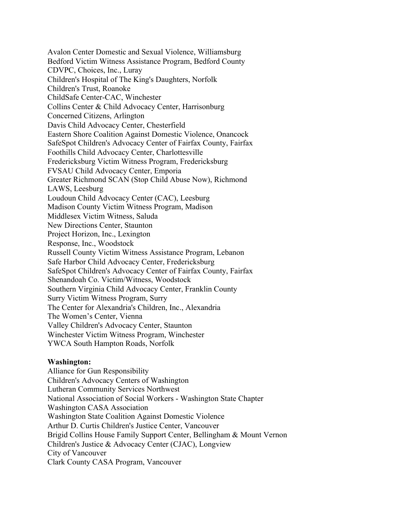Avalon Center Domestic and Sexual Violence, Williamsburg Bedford Victim Witness Assistance Program, Bedford County CDVPC, Choices, Inc., Luray Children's Hospital of The King's Daughters, Norfolk Children's Trust, Roanoke ChildSafe Center-CAC, Winchester Collins Center & Child Advocacy Center, Harrisonburg Concerned Citizens, Arlington Davis Child Advocacy Center, Chesterfield Eastern Shore Coalition Against Domestic Violence, Onancock SafeSpot Children's Advocacy Center of Fairfax County, Fairfax Foothills Child Advocacy Center, Charlottesville Fredericksburg Victim Witness Program, Fredericksburg FVSAU Child Advocacy Center, Emporia Greater Richmond SCAN (Stop Child Abuse Now), Richmond LAWS, Leesburg Loudoun Child Advocacy Center (CAC), Leesburg Madison County Victim Witness Program, Madison Middlesex Victim Witness, Saluda New Directions Center, Staunton Project Horizon, Inc., Lexington Response, Inc., Woodstock Russell County Victim Witness Assistance Program, Lebanon Safe Harbor Child Advocacy Center, Fredericksburg SafeSpot Children's Advocacy Center of Fairfax County, Fairfax Shenandoah Co. Victim/Witness, Woodstock Southern Virginia Child Advocacy Center, Franklin County Surry Victim Witness Program, Surry The Center for Alexandria's Children, Inc., Alexandria The Women's Center, Vienna Valley Children's Advocacy Center, Staunton Winchester Victim Witness Program, Winchester YWCA South Hampton Roads, Norfolk

#### **Washington:**

Alliance for Gun Responsibility Children's Advocacy Centers of Washington Lutheran Community Services Northwest National Association of Social Workers - Washington State Chapter Washington CASA Association Washington State Coalition Against Domestic Violence Arthur D. Curtis Children's Justice Center, Vancouver Brigid Collins House Family Support Center, Bellingham & Mount Vernon Children's Justice & Advocacy Center (CJAC), Longview City of Vancouver Clark County CASA Program, Vancouver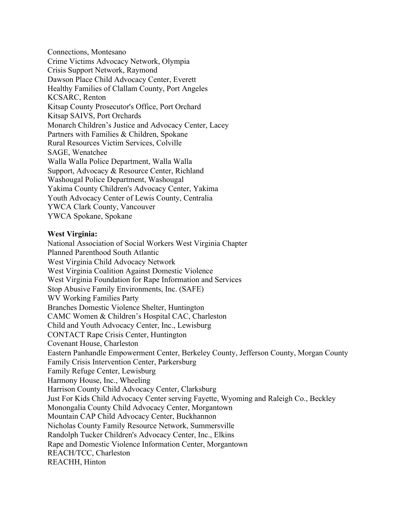Connections, Montesano Crime Victims Advocacy Network, Olympia Crisis Support Network, Raymond Dawson Place Child Advocacy Center, Everett Healthy Families of Clallam County, Port Angeles KCSARC, Renton Kitsap County Prosecutor's Office, Port Orchard Kitsap SAIVS, Port Orchards Monarch Children's Justice and Advocacy Center, Lacey Partners with Families & Children, Spokane Rural Resources Victim Services, Colville SAGE, Wenatchee Walla Walla Police Department, Walla Walla Support, Advocacy & Resource Center, Richland Washougal Police Department, Washougal Yakima County Children's Advocacy Center, Yakima Youth Advocacy Center of Lewis County, Centralia YWCA Clark County, Vancouver YWCA Spokane, Spokane

# **West Virginia:**

National Association of Social Workers West Virginia Chapter Planned Parenthood South Atlantic West Virginia Child Advocacy Network West Virginia Coalition Against Domestic Violence West Virginia Foundation for Rape Information and Services Stop Abusive Family Environments, Inc. (SAFE) WV Working Families Party Branches Domestic Violence Shelter, Huntington CAMC Women & Children's Hospital CAC, Charleston Child and Youth Advocacy Center, Inc., Lewisburg CONTACT Rape Crisis Center, Huntington Covenant House, Charleston Eastern Panhandle Empowerment Center, Berkeley County, Jefferson County, Morgan County Family Crisis Intervention Center, Parkersburg Family Refuge Center, Lewisburg Harmony House, Inc., Wheeling Harrison County Child Advocacy Center, Clarksburg Just For Kids Child Advocacy Center serving Fayette, Wyoming and Raleigh Co., Beckley Monongalia County Child Advocacy Center, Morgantown Mountain CAP Child Advocacy Center, Buckhannon Nicholas County Family Resource Network, Summersville Randolph Tucker Children's Advocacy Center, Inc., Elkins Rape and Domestic Violence Information Center, Morgantown REACH/TCC, Charleston REACHH, Hinton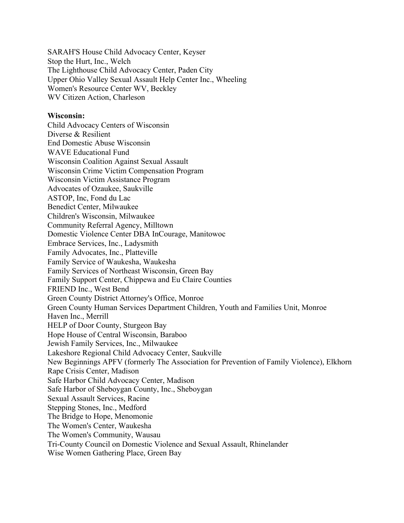SARAH'S House Child Advocacy Center, Keyser Stop the Hurt, Inc., Welch The Lighthouse Child Advocacy Center, Paden City Upper Ohio Valley Sexual Assault Help Center Inc., Wheeling Women's Resource Center WV, Beckley WV Citizen Action, Charleson

#### **Wisconsin:**

Child Advocacy Centers of Wisconsin Diverse & Resilient End Domestic Abuse Wisconsin WAVE Educational Fund Wisconsin Coalition Against Sexual Assault Wisconsin Crime Victim Compensation Program Wisconsin Victim Assistance Program Advocates of Ozaukee, Saukville ASTOP, Inc, Fond du Lac Benedict Center, Milwaukee Children's Wisconsin, Milwaukee Community Referral Agency, Milltown Domestic Violence Center DBA InCourage, Manitowoc Embrace Services, Inc., Ladysmith Family Advocates, Inc., Platteville Family Service of Waukesha, Waukesha Family Services of Northeast Wisconsin, Green Bay Family Support Center, Chippewa and Eu Claire Counties FRIEND Inc., West Bend Green County District Attorney's Office, Monroe Green County Human Services Department Children, Youth and Families Unit, Monroe Haven Inc., Merrill HELP of Door County, Sturgeon Bay Hope House of Central Wisconsin, Baraboo Jewish Family Services, Inc., Milwaukee Lakeshore Regional Child Advocacy Center, Saukville New Beginnings APFV (formerly The Association for Prevention of Family Violence), Elkhorn Rape Crisis Center, Madison Safe Harbor Child Advocacy Center, Madison Safe Harbor of Sheboygan County, Inc., Sheboygan Sexual Assault Services, Racine Stepping Stones, Inc., Medford The Bridge to Hope, Menomonie The Women's Center, Waukesha The Women's Community, Wausau Tri-County Council on Domestic Violence and Sexual Assault, Rhinelander Wise Women Gathering Place, Green Bay